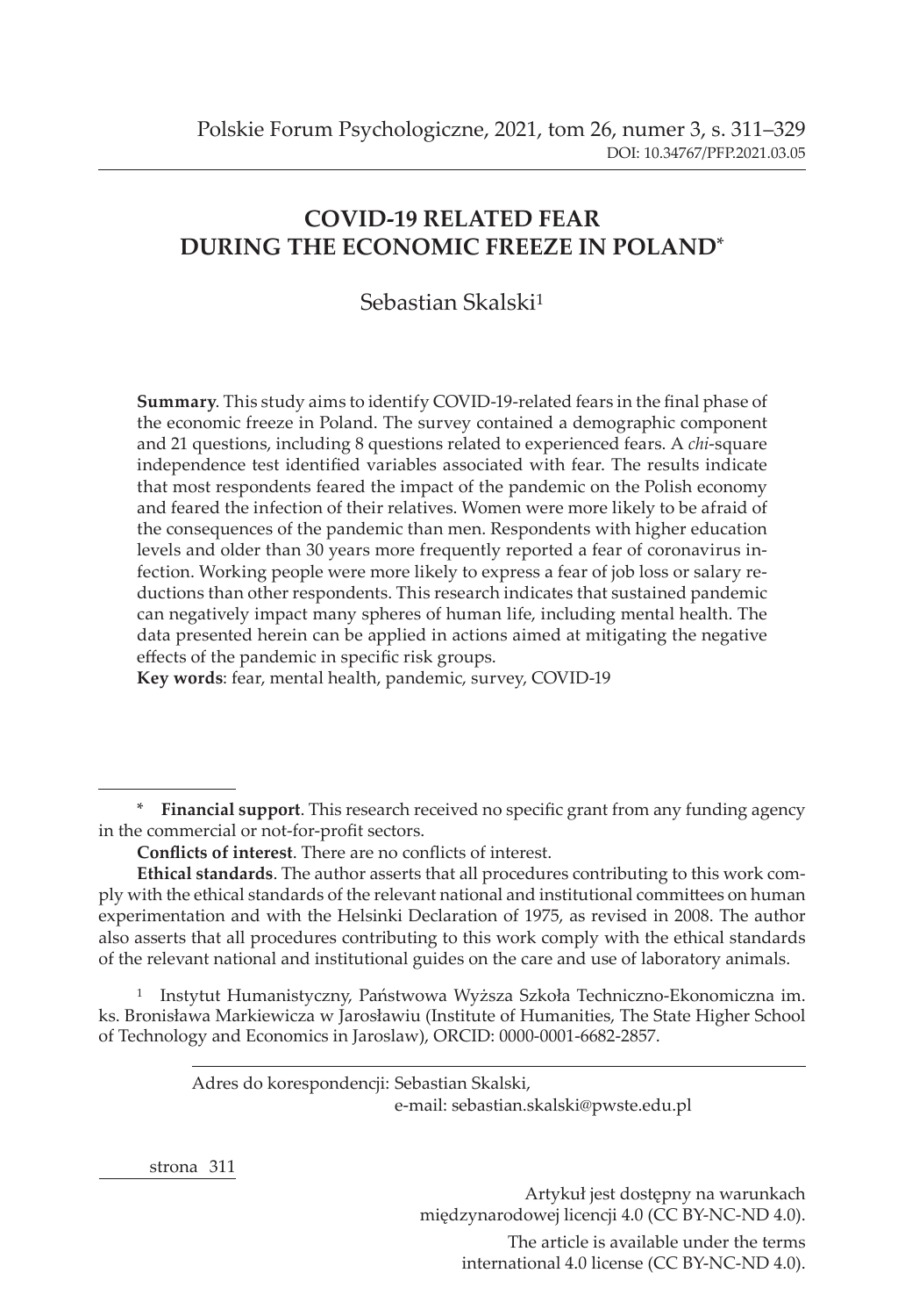# **COVID-19 RELATED FEAR DURING THE ECONOMIC FREEZE IN POLAND**\*

# Sebastian Skalski<sup>1</sup>

**Summary**. This study aims to identify COVID-19-related fears in the final phase of the economic freeze in Poland. The survey contained a demographic component and 21 questions, including 8 questions related to experienced fears. A *chi*-square independence test identified variables associated with fear. The results indicate that most respondents feared the impact of the pandemic on the Polish economy and feared the infection of their relatives. Women were more likely to be afraid of the consequences of the pandemic than men. Respondents with higher education levels and older than 30 years more frequently reported a fear of coronavirus infection. Working people were more likely to express a fear of job loss or salary reductions than other respondents. This research indicates that sustained pandemic can negatively impact many spheres of human life, including mental health. The data presented herein can be applied in actions aimed at mitigating the negative effects of the pandemic in specific risk groups.

**Key words**: fear, mental health, pandemic, survey, COVID-19

\* **Financial support**. This research received no specific grant from any funding agency in the commercial or not-for-profit sectors.

**Ethical standards**. The author asserts that all procedures contributing to this work comply with the ethical standards of the relevant national and institutional committees on human experimentation and with the Helsinki Declaration of 1975, as revised in 2008. The author also asserts that all procedures contributing to this work comply with the ethical standards of the relevant national and institutional guides on the care and use of laboratory animals.

1 Instytut Humanistyczny, Państwowa Wyższa Szkoła Techniczno-Ekonomiczna im. ks. Bronisława Markiewicza w Jarosławiu (Institute of Humanities, The State Higher School of Technology and Economics in Jaroslaw), ORCID: 0000-0001-6682-2857.

#### Adres do korespondencji: Sebastian Skalski, e-mail: sebastian.skalski@pwste.edu.pl

strona  311

Artykuł jest dostępny na warunkach międzynarodowej licencji 4.0 (CC BY-NC-ND 4.0). The article is available under the terms international 4.0 license (CC BY-NC-ND 4.0).

**Conflicts of interest**. There are no conflicts of interest.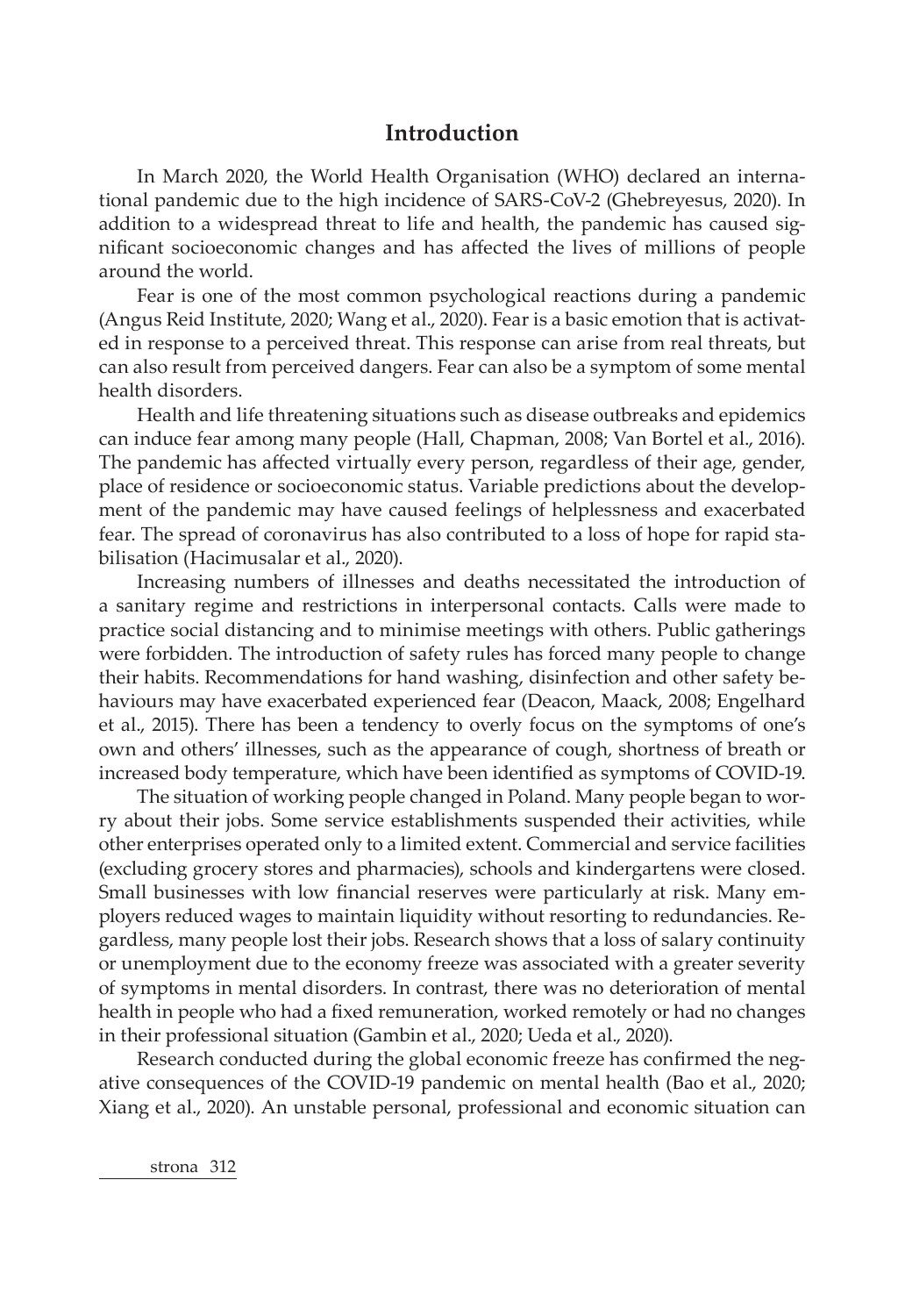## **Introduction**

In March 2020, the World Health Organisation (WHO) declared an international pandemic due to the high incidence of SARS-CoV-2 (Ghebreyesus, 2020). In addition to a widespread threat to life and health, the pandemic has caused significant socioeconomic changes and has affected the lives of millions of people around the world.

Fear is one of the most common psychological reactions during a pandemic (Angus Reid Institute, 2020; Wang et al., 2020). Fear is a basic emotion that is activated in response to a perceived threat. This response can arise from real threats, but can also result from perceived dangers. Fear can also be a symptom of some mental health disorders.

Health and life threatening situations such as disease outbreaks and epidemics can induce fear among many people (Hall, Chapman, 2008; Van Bortel et al., 2016). The pandemic has affected virtually every person, regardless of their age, gender, place of residence or socioeconomic status. Variable predictions about the development of the pandemic may have caused feelings of helplessness and exacerbated fear. The spread of coronavirus has also contributed to a loss of hope for rapid stabilisation (Hacimusalar et al., 2020).

Increasing numbers of illnesses and deaths necessitated the introduction of a sanitary regime and restrictions in interpersonal contacts. Calls were made to practice social distancing and to minimise meetings with others. Public gatherings were forbidden. The introduction of safety rules has forced many people to change their habits. Recommendations for hand washing, disinfection and other safety behaviours may have exacerbated experienced fear (Deacon, Maack, 2008; Engelhard et al., 2015). There has been a tendency to overly focus on the symptoms of one's own and others' illnesses, such as the appearance of cough, shortness of breath or increased body temperature, which have been identified as symptoms of COVID-19.

The situation of working people changed in Poland. Many people began to worry about their jobs. Some service establishments suspended their activities, while other enterprises operated only to a limited extent. Commercial and service facilities (excluding grocery stores and pharmacies), schools and kindergartens were closed. Small businesses with low financial reserves were particularly at risk. Many employers reduced wages to maintain liquidity without resorting to redundancies. Regardless, many people lost their jobs. Research shows that a loss of salary continuity or unemployment due to the economy freeze was associated with a greater severity of symptoms in mental disorders. In contrast, there was no deterioration of mental health in people who had a fixed remuneration, worked remotely or had no changes in their professional situation (Gambin et al., 2020; Ueda et al., 2020).

Research conducted during the global economic freeze has confirmed the negative consequences of the COVID-19 pandemic on mental health (Bao et al., 2020; Xiang et al., 2020). An unstable personal, professional and economic situation can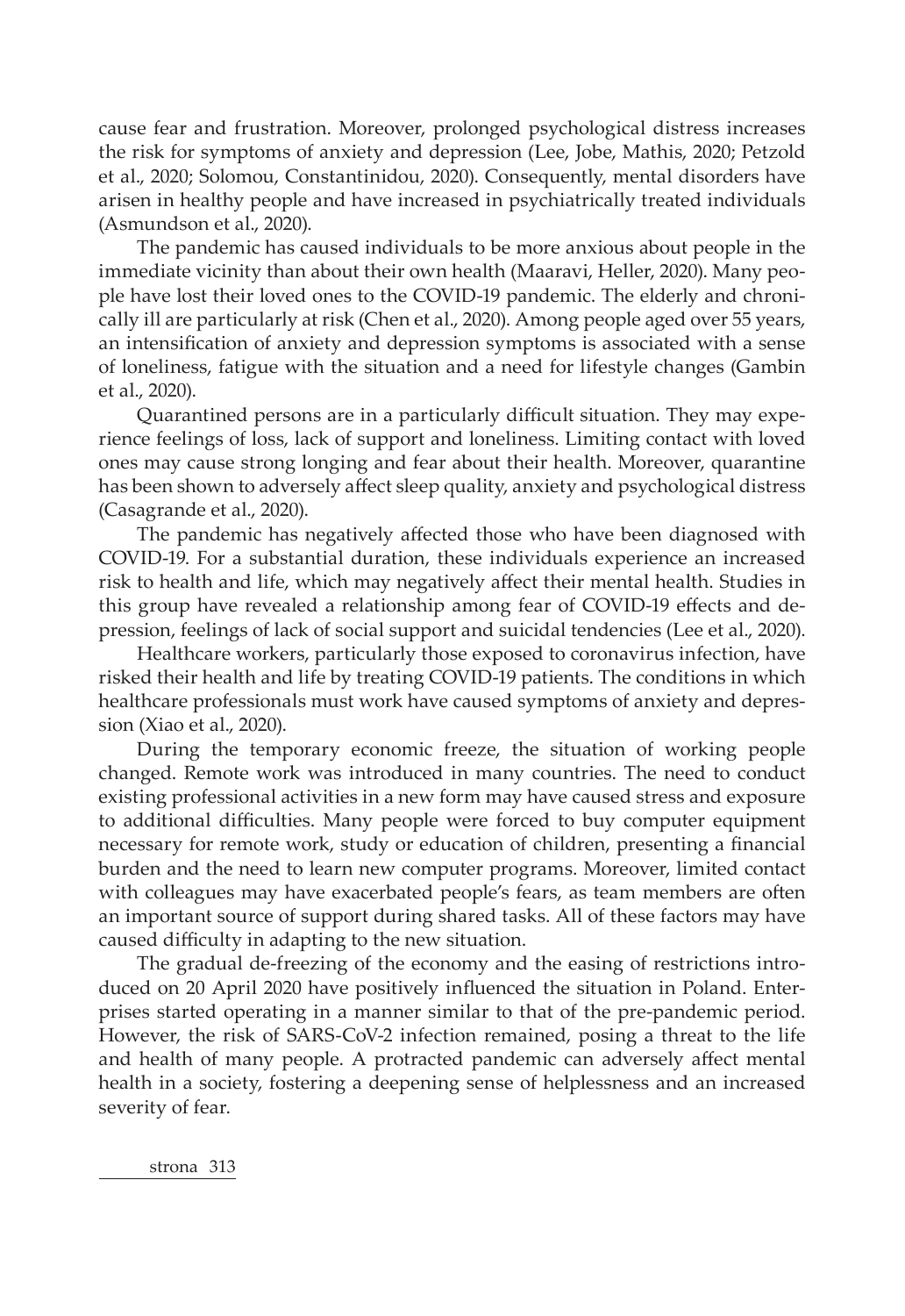cause fear and frustration. Moreover, prolonged psychological distress increases the risk for symptoms of anxiety and depression (Lee, Jobe, Mathis, 2020; Petzold et al., 2020; Solomou, Constantinidou, 2020). Consequently, mental disorders have arisen in healthy people and have increased in psychiatrically treated individuals (Asmundson et al., 2020).

The pandemic has caused individuals to be more anxious about people in the immediate vicinity than about their own health (Maaravi, Heller, 2020). Many people have lost their loved ones to the COVID-19 pandemic. The elderly and chronically ill are particularly at risk (Chen et al., 2020). Among people aged over 55 years, an intensification of anxiety and depression symptoms is associated with a sense of loneliness, fatigue with the situation and a need for lifestyle changes (Gambin et al., 2020).

Quarantined persons are in a particularly difficult situation. They may experience feelings of loss, lack of support and loneliness. Limiting contact with loved ones may cause strong longing and fear about their health. Moreover, quarantine has been shown to adversely affect sleep quality, anxiety and psychological distress (Casagrande et al., 2020).

The pandemic has negatively affected those who have been diagnosed with COVID-19. For a substantial duration, these individuals experience an increased risk to health and life, which may negatively affect their mental health. Studies in this group have revealed a relationship among fear of COVID-19 effects and depression, feelings of lack of social support and suicidal tendencies (Lee et al., 2020).

Healthcare workers, particularly those exposed to coronavirus infection, have risked their health and life by treating COVID-19 patients. The conditions in which healthcare professionals must work have caused symptoms of anxiety and depression (Xiao et al., 2020).

During the temporary economic freeze, the situation of working people changed. Remote work was introduced in many countries. The need to conduct existing professional activities in a new form may have caused stress and exposure to additional difficulties. Many people were forced to buy computer equipment necessary for remote work, study or education of children, presenting a financial burden and the need to learn new computer programs. Moreover, limited contact with colleagues may have exacerbated people's fears, as team members are often an important source of support during shared tasks. All of these factors may have caused difficulty in adapting to the new situation.

The gradual de-freezing of the economy and the easing of restrictions introduced on 20 April 2020 have positively influenced the situation in Poland. Enterprises started operating in a manner similar to that of the pre-pandemic period. However, the risk of SARS-CoV-2 infection remained, posing a threat to the life and health of many people. A protracted pandemic can adversely affect mental health in a society, fostering a deepening sense of helplessness and an increased severity of fear.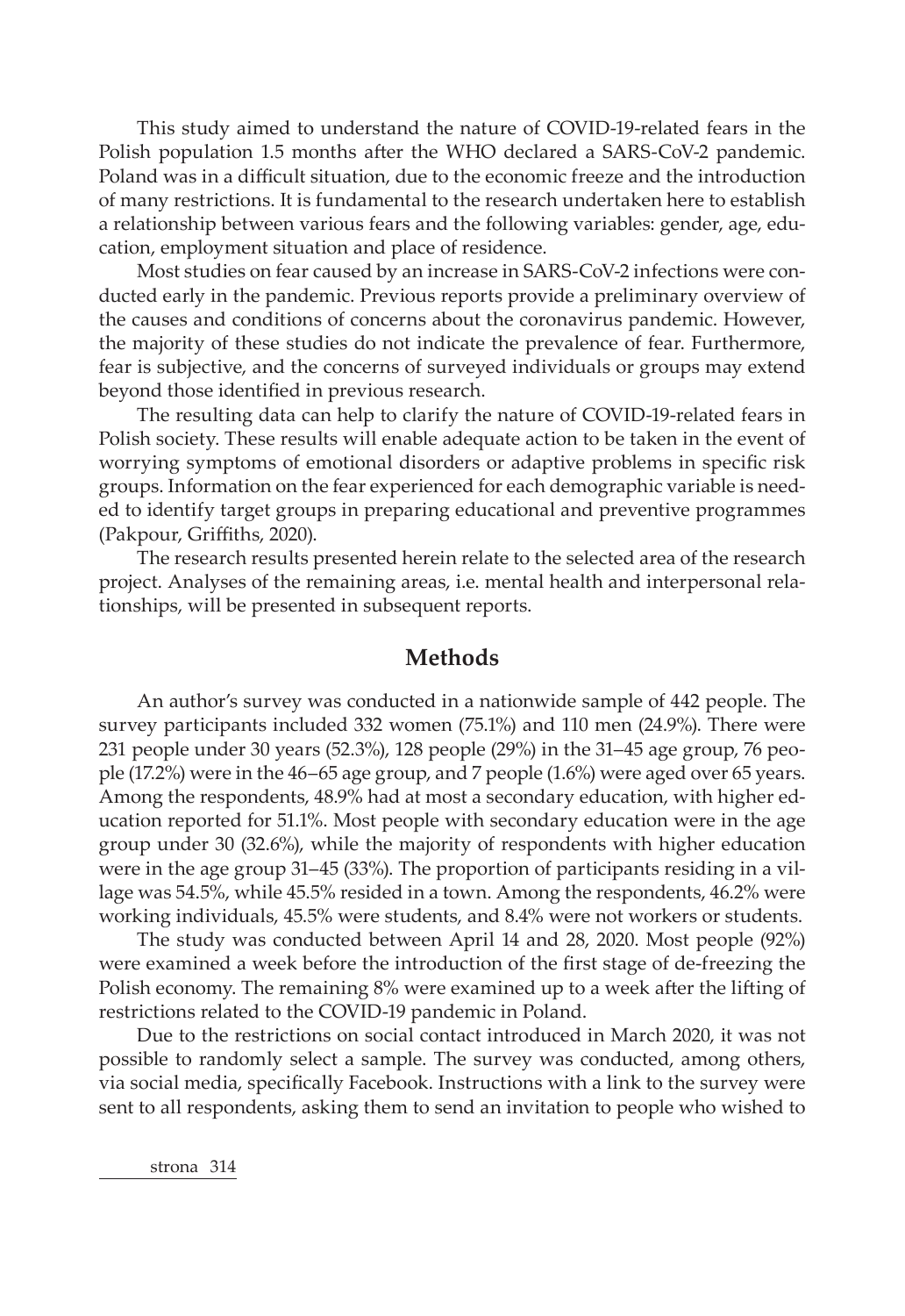This study aimed to understand the nature of COVID-19-related fears in the Polish population 1.5 months after the WHO declared a SARS-CoV-2 pandemic. Poland was in a difficult situation, due to the economic freeze and the introduction of many restrictions. It is fundamental to the research undertaken here to establish a relationship between various fears and the following variables: gender, age, education, employment situation and place of residence.

Most studies on fear caused by an increase in SARS-CoV-2 infections were conducted early in the pandemic. Previous reports provide a preliminary overview of the causes and conditions of concerns about the coronavirus pandemic. However, the majority of these studies do not indicate the prevalence of fear. Furthermore, fear is subjective, and the concerns of surveyed individuals or groups may extend beyond those identified in previous research.

The resulting data can help to clarify the nature of COVID-19-related fears in Polish society. These results will enable adequate action to be taken in the event of worrying symptoms of emotional disorders or adaptive problems in specific risk groups. Information on the fear experienced for each demographic variable is needed to identify target groups in preparing educational and preventive programmes (Pakpour, Griffiths, 2020).

The research results presented herein relate to the selected area of the research project. Analyses of the remaining areas, i.e. mental health and interpersonal relationships, will be presented in subsequent reports.

## **Methods**

An author's survey was conducted in a nationwide sample of 442 people. The survey participants included 332 women (75.1%) and 110 men (24.9%). There were 231 people under 30 years (52.3%), 128 people (29%) in the 31–45 age group, 76 people (17.2%) were in the 46–65 age group, and 7 people (1.6%) were aged over 65 years. Among the respondents, 48.9% had at most a secondary education, with higher education reported for 51.1%. Most people with secondary education were in the age group under 30 (32.6%), while the majority of respondents with higher education were in the age group 31–45 (33%). The proportion of participants residing in a village was 54.5%, while 45.5% resided in a town. Among the respondents, 46.2% were working individuals, 45.5% were students, and 8.4% were not workers or students.

The study was conducted between April 14 and 28, 2020. Most people (92%) were examined a week before the introduction of the first stage of de-freezing the Polish economy. The remaining 8% were examined up to a week after the lifting of restrictions related to the COVID-19 pandemic in Poland.

Due to the restrictions on social contact introduced in March 2020, it was not possible to randomly select a sample. The survey was conducted, among others, via social media, specifically Facebook. Instructions with a link to the survey were sent to all respondents, asking them to send an invitation to people who wished to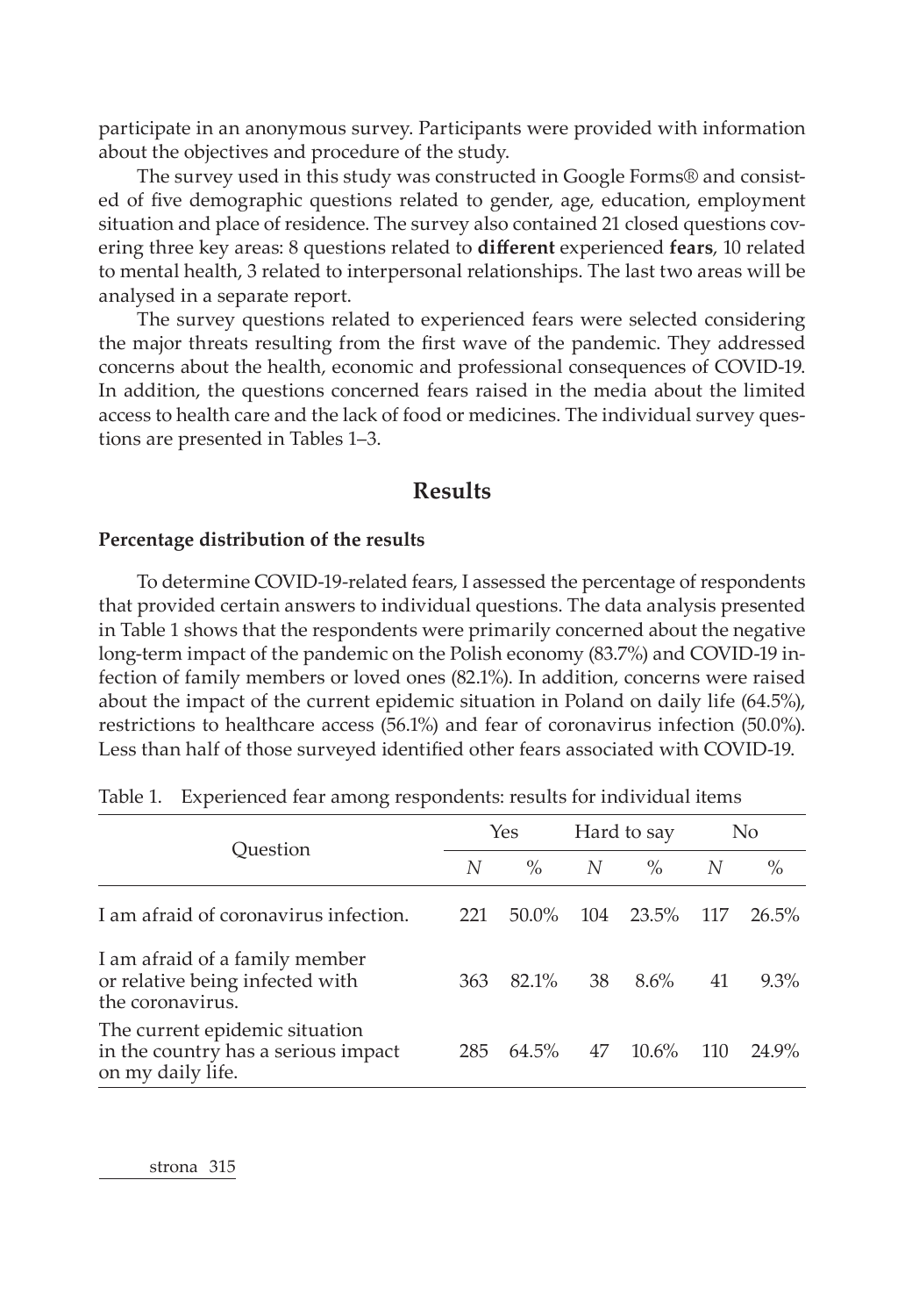participate in an anonymous survey. Participants were provided with information about the objectives and procedure of the study.

The survey used in this study was constructed in Google Forms® and consisted of five demographic questions related to gender, age, education, employment situation and place of residence. The survey also contained 21 closed questions covering three key areas: 8 questions related to **different** experienced **fears**, 10 related to mental health, 3 related to interpersonal relationships. The last two areas will be analysed in a separate report.

The survey questions related to experienced fears were selected considering the major threats resulting from the first wave of the pandemic. They addressed concerns about the health, economic and professional consequences of COVID-19. In addition, the questions concerned fears raised in the media about the limited access to health care and the lack of food or medicines. The individual survey questions are presented in Tables 1–3.

## **Results**

### **Percentage distribution of the results**

To determine COVID-19-related fears, I assessed the percentage of respondents that provided certain answers to individual questions. The data analysis presented in Table 1 shows that the respondents were primarily concerned about the negative long-term impact of the pandemic on the Polish economy (83.7%) and COVID-19 infection of family members or loved ones (82.1%). In addition, concerns were raised about the impact of the current epidemic situation in Poland on daily life (64.5%), restrictions to healthcare access (56.1%) and fear of coronavirus infection (50.0%). Less than half of those surveyed identified other fears associated with COVID-19.

|                                                                                            |     | Yes      |     | Hard to say |     | No      |
|--------------------------------------------------------------------------------------------|-----|----------|-----|-------------|-----|---------|
| Ouestion                                                                                   | N   | $\%$     | N   | $\%$        | N   | $\%$    |
| I am afraid of coronavirus infection.                                                      | 221 | $50.0\%$ | 104 | 23.5%       | 117 | 26.5%   |
| I am afraid of a family member<br>or relative being infected with<br>the coronavirus.      | 363 | 82.1%    | 38  | 8.6%        | 41  | $9.3\%$ |
| The current epidemic situation<br>in the country has a serious impact<br>on my daily life. | 285 | 64.5%    | 47  | 10.6%       | 110 | 24.9%   |

| Table 1. Experienced fear among respondents: results for individual items |  |  |  |
|---------------------------------------------------------------------------|--|--|--|
|                                                                           |  |  |  |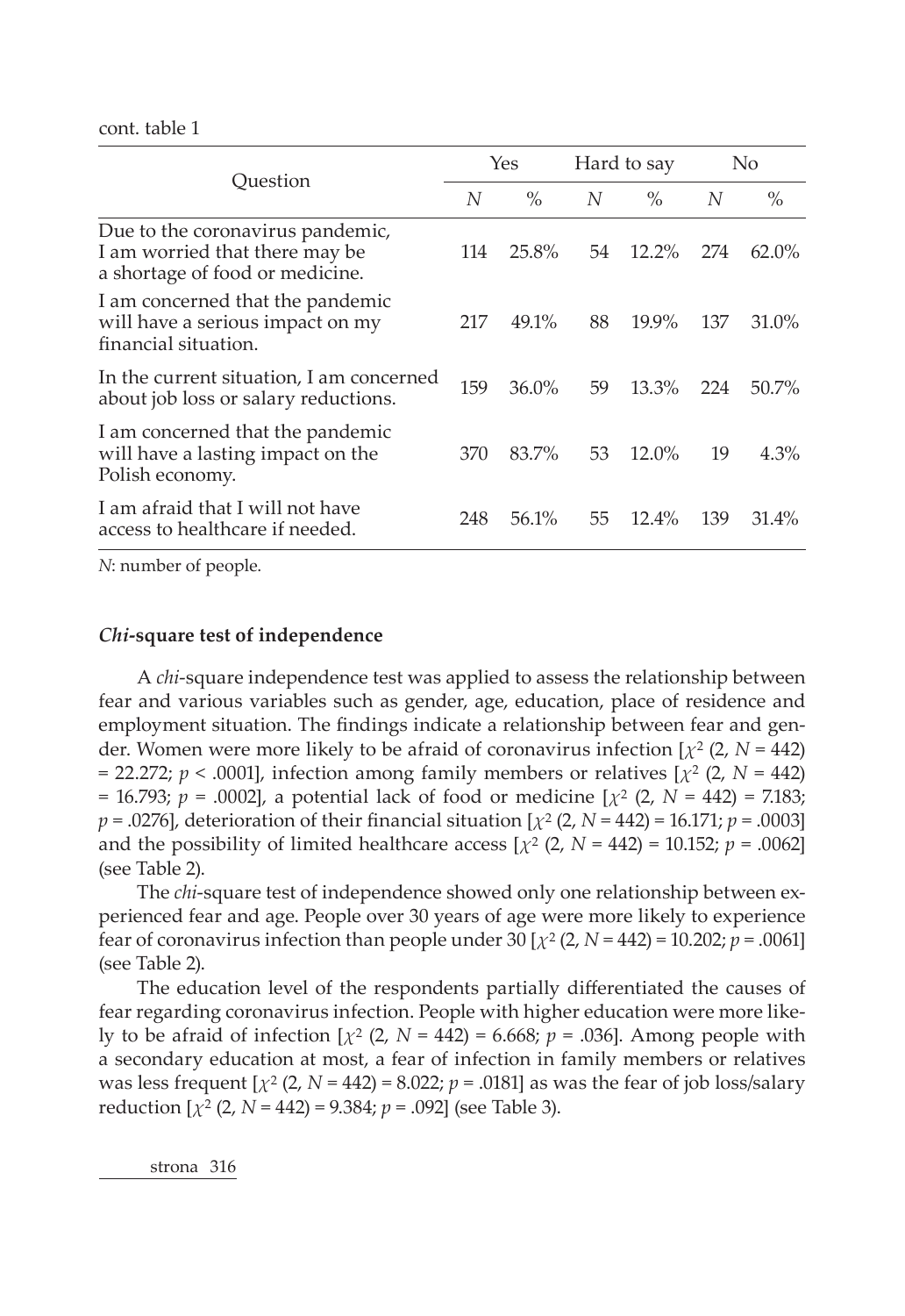cont. table 1

|                                                                                                       |     | Yes      |    | Hard to say |     | No       |
|-------------------------------------------------------------------------------------------------------|-----|----------|----|-------------|-----|----------|
| Ouestion                                                                                              | N   | $\%$     | N  | $\%$        | N   | $\%$     |
| Due to the coronavirus pandemic,<br>I am worried that there may be<br>a shortage of food or medicine. | 114 | 25.8%    | 54 | $12.2\%$    | 274 | $62.0\%$ |
| I am concerned that the pandemic<br>will have a serious impact on my<br>financial situation.          | 217 | 49.1%    | 88 | $19.9\%$    | 137 | 31.0%    |
| In the current situation, I am concerned<br>about job loss or salary reductions.                      | 159 | $36.0\%$ | 59 | $13.3\%$    | 224 | 50.7%    |
| I am concerned that the pandemic<br>will have a lasting impact on the<br>Polish economy.              | 370 | 83.7%    | 53 | $12.0\%$    | 19  | 4.3%     |
| I am afraid that I will not have<br>access to healthcare if needed.                                   | 248 | 56.1%    | 55 | 12.4%       | 139 | $31.4\%$ |

*N*: number of people.

#### *Chi***-square test of independence**

A *chi*-square independence test was applied to assess the relationship between fear and various variables such as gender, age, education, place of residence and employment situation. The findings indicate a relationship between fear and gender. Women were more likely to be afraid of coronavirus infection [*χ*2 (2, *N* = 442)  $= 22.272$ ;  $p < .0001$ , infection among family members or relatives  $\left[\chi^2(2, N = 442)\right]$  $= 16.793; p = .0002$ , a potential lack of food or medicine  $[\chi^2 (2, N = 442) = 7.183;$ *p* = .0276], deterioration of their financial situation [*χ*2 (2, *N* = 442) = 16.171; *p* = .0003] and the possibility of limited healthcare access  $[\chi^2 (2, N = 442) = 10.152; p = .0062]$ (see Table 2).

The *chi*-square test of independence showed only one relationship between experienced fear and age. People over 30 years of age were more likely to experience fear of coronavirus infection than people under 30 [*χ*2 (2, *N* = 442) = 10.202; *p* = .0061] (see Table 2).

The education level of the respondents partially differentiated the causes of fear regarding coronavirus infection. People with higher education were more likely to be afraid of infection  $[\chi^2 (2, N = 442) = 6.668; p = .036]$ . Among people with a secondary education at most, a fear of infection in family members or relatives was less frequent  $[\chi^2 (2, N = 442) = 8.022; p = .0181]$  as was the fear of job loss/salary reduction [*χ*2 (2, *N* = 442) = 9.384; *p* = .092] (see Table 3).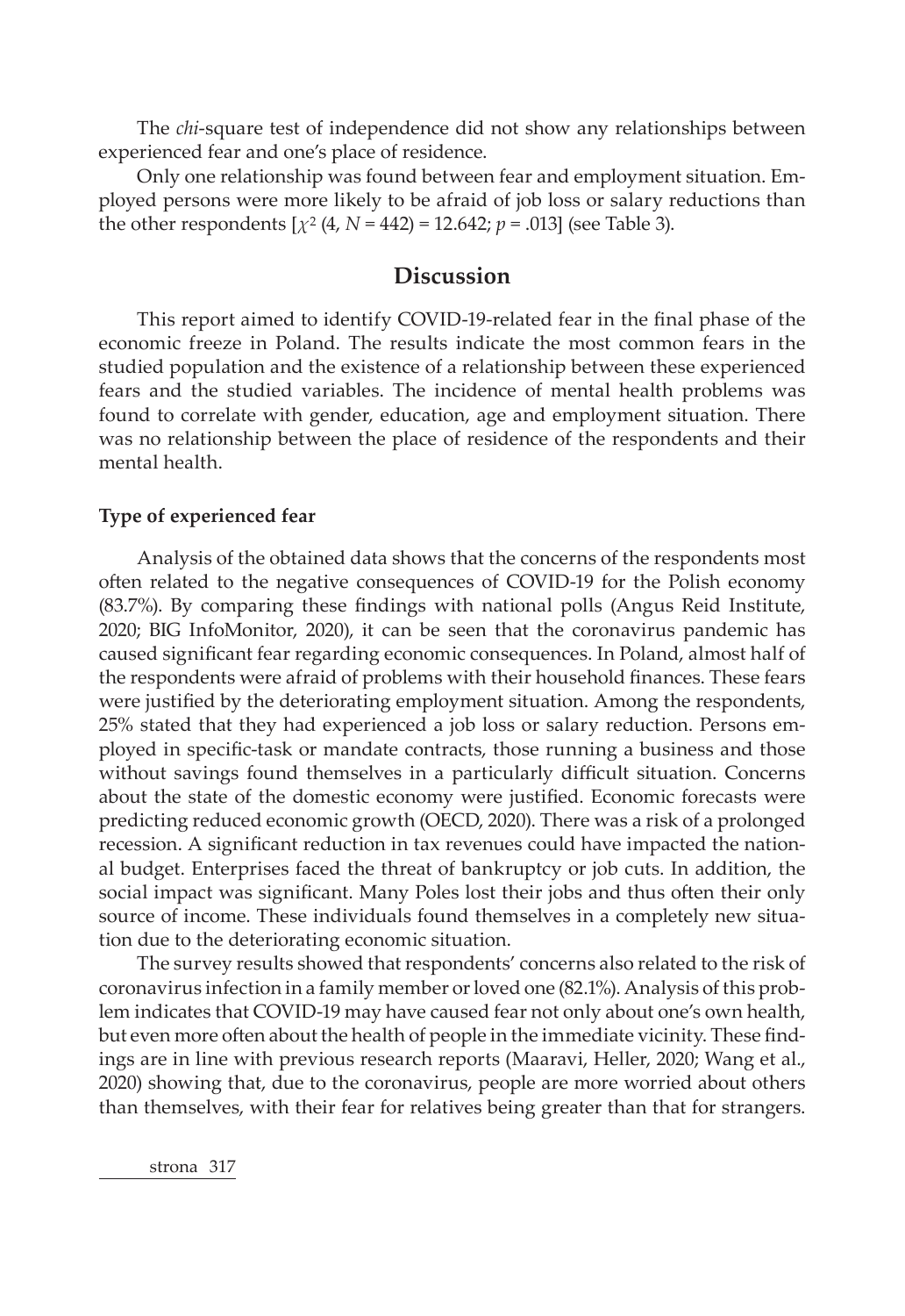The *chi*-square test of independence did not show any relationships between experienced fear and one's place of residence.

Only one relationship was found between fear and employment situation. Employed persons were more likely to be afraid of job loss or salary reductions than the other respondents  $[\chi^2 (4, N = 442) = 12.642; p = .013]$  (see Table 3).

# **Discussion**

This report aimed to identify COVID-19-related fear in the final phase of the economic freeze in Poland. The results indicate the most common fears in the studied population and the existence of a relationship between these experienced fears and the studied variables. The incidence of mental health problems was found to correlate with gender, education, age and employment situation. There was no relationship between the place of residence of the respondents and their mental health.

### **Type of experienced fear**

Analysis of the obtained data shows that the concerns of the respondents most often related to the negative consequences of COVID-19 for the Polish economy (83.7%). By comparing these findings with national polls (Angus Reid Institute, 2020; BIG InfoMonitor, 2020), it can be seen that the coronavirus pandemic has caused significant fear regarding economic consequences. In Poland, almost half of the respondents were afraid of problems with their household finances. These fears were justified by the deteriorating employment situation. Among the respondents, 25% stated that they had experienced a job loss or salary reduction. Persons employed in specific-task or mandate contracts, those running a business and those without savings found themselves in a particularly difficult situation. Concerns about the state of the domestic economy were justified. Economic forecasts were predicting reduced economic growth (OECD, 2020). There was a risk of a prolonged recession. A significant reduction in tax revenues could have impacted the national budget. Enterprises faced the threat of bankruptcy or job cuts. In addition, the social impact was significant. Many Poles lost their jobs and thus often their only source of income. These individuals found themselves in a completely new situation due to the deteriorating economic situation.

The survey results showed that respondents' concerns also related to the risk of coronavirus infection in a family member or loved one (82.1%). Analysis of this problem indicates that COVID-19 may have caused fear not only about one's own health, but even more often about the health of people in the immediate vicinity. These findings are in line with previous research reports (Maaravi, Heller, 2020; Wang et al., 2020) showing that, due to the coronavirus, people are more worried about others than themselves, with their fear for relatives being greater than that for strangers.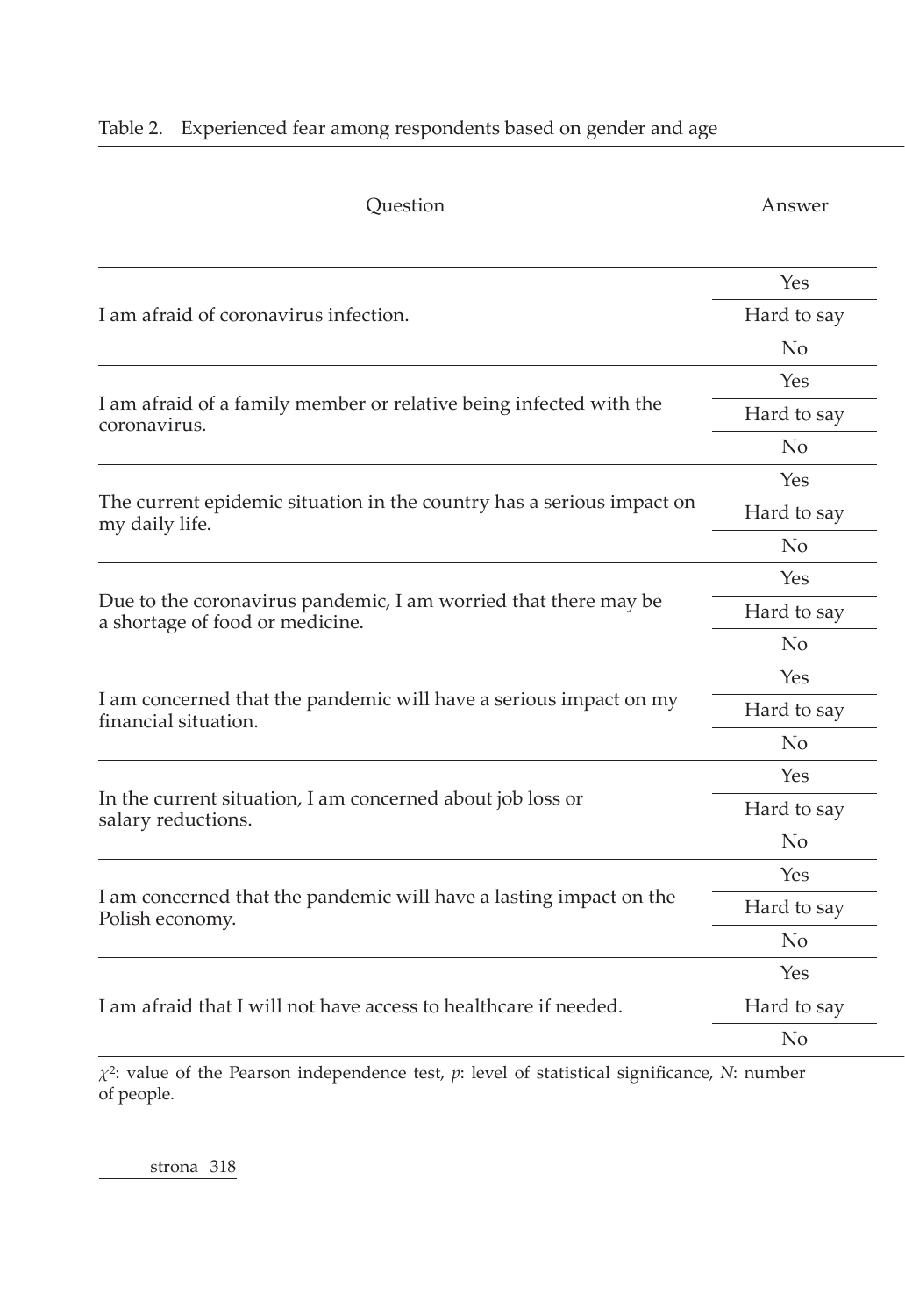|  |  |  |  |  | Table 2. Experienced fear among respondents based on gender and age |  |
|--|--|--|--|--|---------------------------------------------------------------------|--|
|--|--|--|--|--|---------------------------------------------------------------------|--|

| Question                                                                                           | Answer         |
|----------------------------------------------------------------------------------------------------|----------------|
|                                                                                                    | Yes            |
| I am afraid of coronavirus infection.                                                              | Hard to say    |
|                                                                                                    | No             |
|                                                                                                    | Yes            |
| I am afraid of a family member or relative being infected with the<br>coronavirus.                 | Hard to say    |
|                                                                                                    | No             |
|                                                                                                    | Yes            |
| The current epidemic situation in the country has a serious impact on<br>my daily life.            | Hard to say    |
|                                                                                                    | No             |
|                                                                                                    | Yes            |
| Due to the coronavirus pandemic, I am worried that there may be<br>a shortage of food or medicine. | Hard to say    |
|                                                                                                    | N <sub>o</sub> |
|                                                                                                    | Yes            |
| I am concerned that the pandemic will have a serious impact on my<br>financial situation.          | Hard to say    |
|                                                                                                    | N <sub>o</sub> |
|                                                                                                    | Yes            |
| In the current situation, I am concerned about job loss or<br>salary reductions.                   | Hard to say    |
|                                                                                                    | N <sub>o</sub> |
|                                                                                                    | Yes            |
| I am concerned that the pandemic will have a lasting impact on the<br>Polish economy.              | Hard to say    |
|                                                                                                    | No             |
|                                                                                                    | Yes            |
| I am afraid that I will not have access to healthcare if needed.                                   | Hard to say    |
|                                                                                                    | N <sub>o</sub> |

*χ*2: value of the Pearson independence test, *p*: level of statistical significance, *N*: number of people.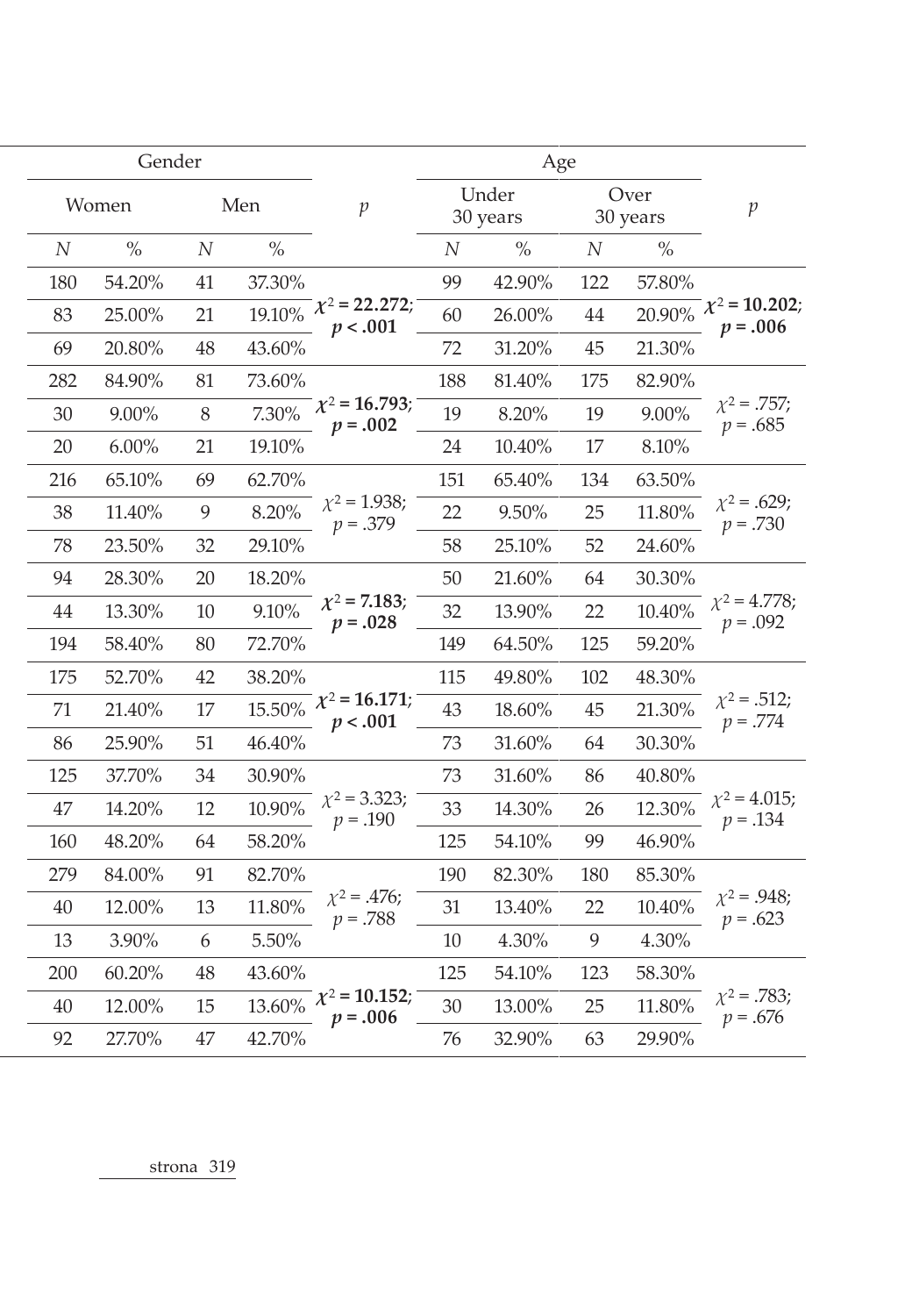|          | Gender   |          |        |                                                      |          | Age               |          |                  |                                                                                                                                                                  |
|----------|----------|----------|--------|------------------------------------------------------|----------|-------------------|----------|------------------|------------------------------------------------------------------------------------------------------------------------------------------------------------------|
|          | Women    |          | Men    | $\mathcal{P}$                                        |          | Under<br>30 years |          | Over<br>30 years | $\mathcal{P}$                                                                                                                                                    |
| $\cal N$ | $\%$     | $\cal N$ | $\%$   |                                                      | $\cal N$ | $\%$              | $\cal N$ | $\%$             |                                                                                                                                                                  |
| 180      | 54.20%   | 41       | 37.30% |                                                      | 99       | 42.90%            | 122      | 57.80%           |                                                                                                                                                                  |
| 83       | 25.00%   | 21       |        | $19.10\%$ $\chi^2$ = 22.272;<br>p < .001             | 60       | 26.00%            | 44       |                  | $20.90\%$ $\chi^2$ = 10.202;<br>$p = .006$                                                                                                                       |
| 69       | 20.80%   | 48       | 43.60% |                                                      | 72       | 31.20%            | 45       | 21.30%           |                                                                                                                                                                  |
| 282      | 84.90%   | 81       | 73.60% |                                                      | 188      | 81.40%            | 175      | 82.90%           |                                                                                                                                                                  |
| 30       | 9.00%    | 8        |        | $\overline{7.30\%}$ $\chi^2$ = 16.793;<br>$p = .002$ | 19       | 8.20%             | 19       | 9.00%            | $\chi^2 = .757;$                                                                                                                                                 |
| 20       | $6.00\%$ | 21       | 19.10% |                                                      | 24       | 10.40%            | 17       | 8.10%            |                                                                                                                                                                  |
| 216      | 65.10%   | 69       | 62.70% |                                                      | 151      | 65.40%            | 134      | 63.50%           |                                                                                                                                                                  |
| 38       | 11.40%   | 9        | 8.20%  | $\chi^2$ = 1.938;<br>$p = .379$                      | 22       | 9.50%             | 25       | 11.80%           | $p = .730$                                                                                                                                                       |
| 78       | 23.50%   | 32       | 29.10% |                                                      | 58       | 25.10%            | 52       | 24.60%           |                                                                                                                                                                  |
| 94       | 28.30%   | 20       | 18.20% |                                                      | 50       | 21.60%            | 64       | 30.30%           |                                                                                                                                                                  |
| 44       | 13.30%   | 10       | 9.10%  | $\chi^2$ = 7.183;<br>$p = .028$                      | 32       | 13.90%            | 22       | 10.40%           |                                                                                                                                                                  |
| 194      | 58.40%   | 80       | 72.70% |                                                      | 149      | 64.50%            | 125      | 59.20%           |                                                                                                                                                                  |
| 175      | 52.70%   | 42       | 38.20% |                                                      | 115      | 49.80%            | 102      | 48.30%           |                                                                                                                                                                  |
| 71       | 21.40%   | 17       |        | $\frac{1}{15.50\%}$ $\chi^2$ = 16.171;<br>p < .001   | 43       | 18.60%            | 45       | 21.30%           | $p = .774$                                                                                                                                                       |
| 86       | 25.90%   | 51       | 46.40% |                                                      | 73       | 31.60%            | 64       | 30.30%           |                                                                                                                                                                  |
| 125      | 37.70%   | 34       | 30.90% |                                                      | 73       | 31.60%            | 86       | 40.80%           |                                                                                                                                                                  |
| 47       | 14.20%   | 12       | 10.90% | $\chi^2$ = 3.323;<br>$p = .190$                      | 33       | 14.30%            | 26       | 12.30%           | $p = .134$                                                                                                                                                       |
| 160      | 48.20%   | 64       | 58.20% |                                                      | 125      | 54.10%            | 99       | 46.90%           |                                                                                                                                                                  |
| 279      | 84.00%   | 91       | 82.70% |                                                      | 190      | 82.30%            | 180      | 85.30%           |                                                                                                                                                                  |
| 40       | 12.00%   | 13       | 11.80% | $\chi^2$ = .476;<br>$p = .788$                       | 31       | 13.40%            | 22       | 10.40%           | $p = .623$                                                                                                                                                       |
| 13       | 3.90%    | 6        | 5.50%  |                                                      | 10       | 4.30%             | 9        | 4.30%            | $p = .685$<br>$\chi^2$ = .629;<br>$\chi^2$ = 4.778;<br>$p = .092$<br>$\chi^2$ = .512;<br>$\chi^2$ = 4.015;<br>$\chi^2 = .948;$<br>$\chi^2$ = .783;<br>$p = .676$ |
| 200      | 60.20%   | 48       | 43.60% |                                                      | 125      | 54.10%            | 123      | 58.30%           |                                                                                                                                                                  |
| 40       | 12.00%   | 15       |        | $13.60\%$ $\chi^2$ = 10.152;<br>$p = .006$           | 30       | 13.00%            | 25       | 11.80%           |                                                                                                                                                                  |
| 92       | 27.70%   | 47       | 42.70% |                                                      | 76       | 32.90%            | 63       | 29.90%           |                                                                                                                                                                  |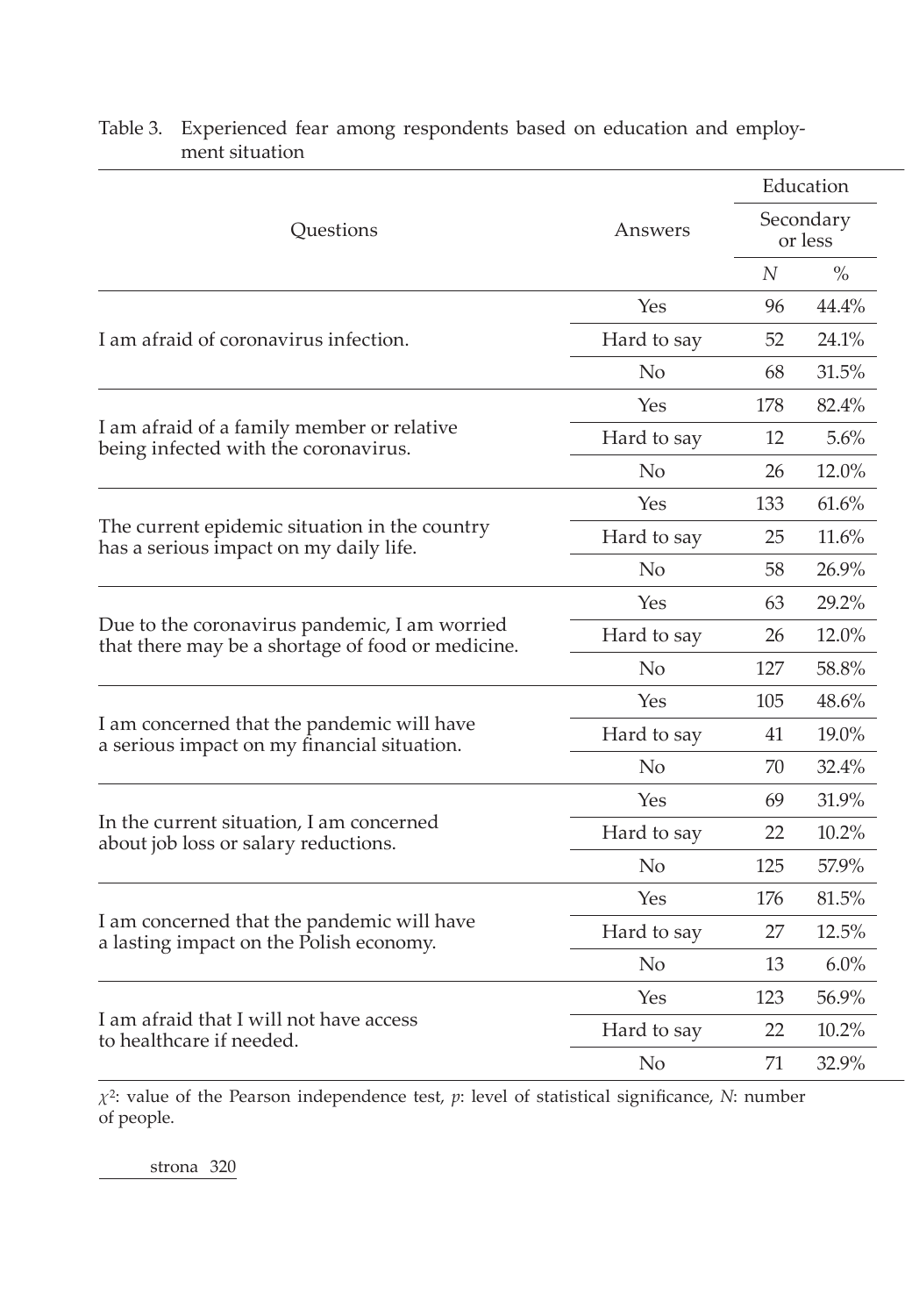|                                                                                    |                   |                      | Education |
|------------------------------------------------------------------------------------|-------------------|----------------------|-----------|
| Questions                                                                          | Answers           | Secondary<br>or less |           |
|                                                                                    |                   | $\cal N$             | $\%$      |
|                                                                                    | Yes               | 96                   | 44.4%     |
| I am afraid of coronavirus infection.                                              | Hard to say       | 52                   | 24.1%     |
|                                                                                    | N <sub>o</sub>    | 68                   | 31.5%     |
|                                                                                    | Yes               | 178                  | 82.4%     |
| I am afraid of a family member or relative<br>being infected with the coronavirus. | Hard to say       | 12                   | 5.6%      |
|                                                                                    | No                | 26                   | 12.0%     |
|                                                                                    | Yes               | 133                  | 61.6%     |
| The current epidemic situation in the country                                      | Hard to say       | 25                   | 11.6%     |
| has a serious impact on my daily life.                                             | No                | 58                   | 26.9%     |
|                                                                                    | Yes               | 63                   | 29.2%     |
| Due to the coronavirus pandemic, I am worried                                      | Hard to say       | 26                   | 12.0%     |
| that there may be a shortage of food or medicine.                                  | N <sub>o</sub>    | 127                  | 58.8%     |
|                                                                                    | Yes               | 105                  | 48.6%     |
| I am concerned that the pandemic will have                                         | Hard to say       | 41                   | 19.0%     |
| a serious impact on my financial situation.                                        | N <sub>o</sub>    | 70                   | 32.4%     |
|                                                                                    | Yes               | 69                   | 31.9%     |
| In the current situation, I am concerned                                           | Hard to say       | 22                   | 10.2%     |
| about job loss or salary reductions.                                               | No                | 125                  | 57.9%     |
|                                                                                    | Yes               | 176                  | 81.5%     |
| I am concerned that the pandemic will have                                         | Hard to say       | 27                   | 12.5%     |
| a lasting impact on the Polish economy.                                            | No                | 13                   | 6.0%      |
|                                                                                    | Yes               | 123                  | 56.9%     |
| I am afraid that I will not have access                                            |                   | 22                   | 10.2%     |
| to healthcare if needed.                                                           | Hard to say<br>No | 71                   | 32.9%     |
|                                                                                    |                   |                      |           |

## Table 3. Experienced fear among respondents based on education and employment situation

*χ*2: value of the Pearson independence test, *p*: level of statistical significance, *N*: number of people.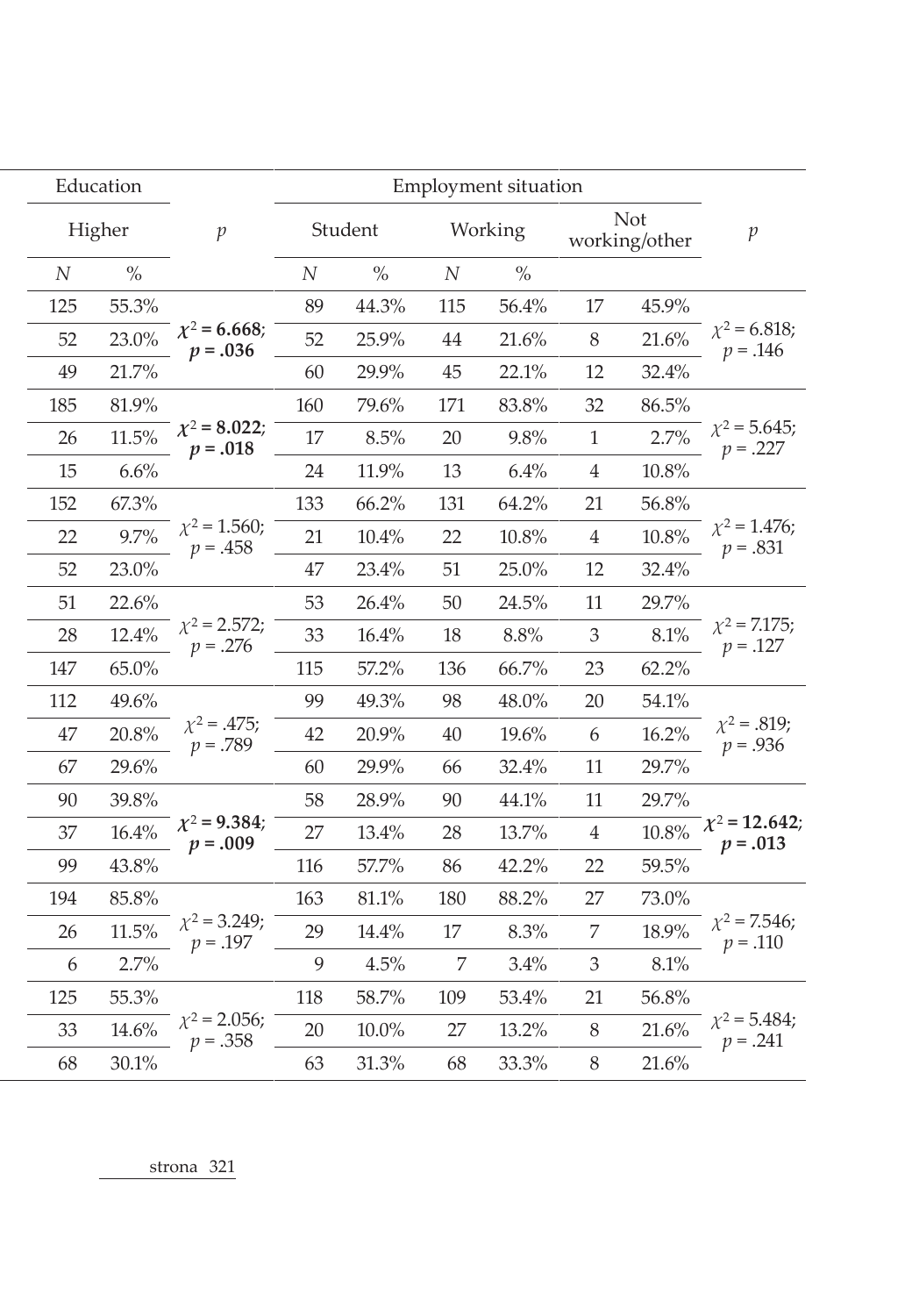|                                  | <b>Employment situation</b> |                    |       |                             |          |          | Education                       |        |                  |
|----------------------------------|-----------------------------|--------------------|-------|-----------------------------|----------|----------|---------------------------------|--------|------------------|
| $\mathcal{P}$                    |                             | Student<br>Working |       | <b>Not</b><br>working/other |          |          | $\mathcal{p}$                   | Higher |                  |
|                                  |                             |                    | $\%$  | $\cal N$                    | $\%$     | $\cal N$ |                                 | $\%$   | $\boldsymbol{N}$ |
|                                  | 45.9%                       | 17                 | 56.4% | 115                         | 44.3%    | 89       |                                 | 55.3%  | 125              |
| $\chi^2$ = 6.818;<br>$p = .146$  | 21.6%                       | $\, 8$             | 21.6% | 44                          | 25.9%    | 52       | $\chi^2$ = 6.668;<br>$p = .036$ | 23.0%  | 52               |
|                                  | 32.4%                       | 12                 | 22.1% | 45                          | 29.9%    | 60       |                                 | 21.7%  | 49               |
|                                  | 86.5%                       | 32                 | 83.8% | 171                         | 79.6%    | 160      |                                 | 81.9%  | 185              |
| $\chi^2$ = 5.645;<br>$p = .227$  | 2.7%                        | $\mathbf{1}$       | 9.8%  | 20                          | 8.5%     | 17       | $\chi^2$ = 8.022;<br>$p = .018$ | 11.5%  | 26               |
|                                  | $10.8\%$                    | $\overline{4}$     | 6.4%  | 13                          | 11.9%    | 24       |                                 | 6.6%   | 15               |
|                                  | 56.8%                       | 21                 | 64.2% | 131                         | 66.2%    | 133      |                                 | 67.3%  | 152              |
| $\chi^2$ = 1.476;<br>$p = .831$  | 10.8%                       | $\overline{4}$     | 10.8% | 22                          | 10.4%    | 21       | $\chi^2$ = 1.560;<br>$p = .458$ | 9.7%   | 22               |
|                                  | 32.4%                       | 12                 | 25.0% | 51                          | 23.4%    | 47       |                                 | 23.0%  | 52               |
|                                  | 29.7%                       | 11                 | 24.5% | 50                          | 26.4%    | 53       |                                 | 22.6%  | 51               |
| $\chi^2$ = 7.175;<br>$p = .127$  | 8.1%                        | $\mathfrak{Z}$     | 8.8%  | 18                          | 16.4%    | 33       | $\chi^2$ = 2.572;<br>$p = .276$ | 12.4%  | 28               |
|                                  | 62.2%                       | 23                 | 66.7% | 136                         | 57.2%    | 115      |                                 | 65.0%  | 147              |
|                                  | 54.1%                       | 20                 | 48.0% | 98                          | 49.3%    | 99       |                                 | 49.6%  | 112              |
| $\chi^2 = .819;$<br>$p = .936$   | 16.2%                       | 6                  | 19.6% | 40                          | 20.9%    | 42       | $\chi^2$ = .475;<br>$p = .789$  | 20.8%  | 47               |
|                                  | 29.7%                       | 11                 | 32.4% | 66                          | 29.9%    | 60       |                                 | 29.6%  | 67               |
|                                  | 29.7%                       | 11                 | 44.1% | 90                          | 28.9%    | 58       |                                 | 39.8%  | 90               |
| $\chi^2$ = 12.642;<br>$p = .013$ | 10.8%                       | $\overline{4}$     | 13.7% | 28                          | 13.4%    | 27       | $\chi^2$ = 9.384;<br>$p = .009$ | 16.4%  | 37               |
|                                  | 59.5%                       | 22                 | 42.2% | 86                          | 57.7%    | 116      |                                 | 43.8%  | 99               |
|                                  | 73.0%                       | 27                 | 88.2% | 180                         | 81.1%    | 163      |                                 | 85.8%  | 194              |
| $\chi^2$ = 7.546;<br>$p = .110$  | 18.9%                       | 7                  | 8.3%  | 17                          | 14.4%    | 29       | $\chi^2$ = 3.249;<br>$p = .197$ | 11.5%  | 26               |
|                                  | 8.1%                        | 3                  | 3.4%  | 7                           | 4.5%     | 9        |                                 | 2.7%   | 6                |
|                                  | 56.8%                       | 21                 | 53.4% | 109                         | 58.7%    | 118      |                                 | 55.3%  | 125              |
| $\chi^2$ = 5.484;<br>$p = .241$  | 21.6%                       | 8                  | 13.2% | 27                          | $10.0\%$ | 20       | $\chi^2$ = 2.056;<br>$p = .358$ | 14.6%  | 33               |
|                                  | 21.6%                       | 8                  | 33.3% | 68                          | 31.3%    | 63       |                                 | 30.1%  | 68               |
|                                  |                             |                    |       |                             |          |          |                                 |        |                  |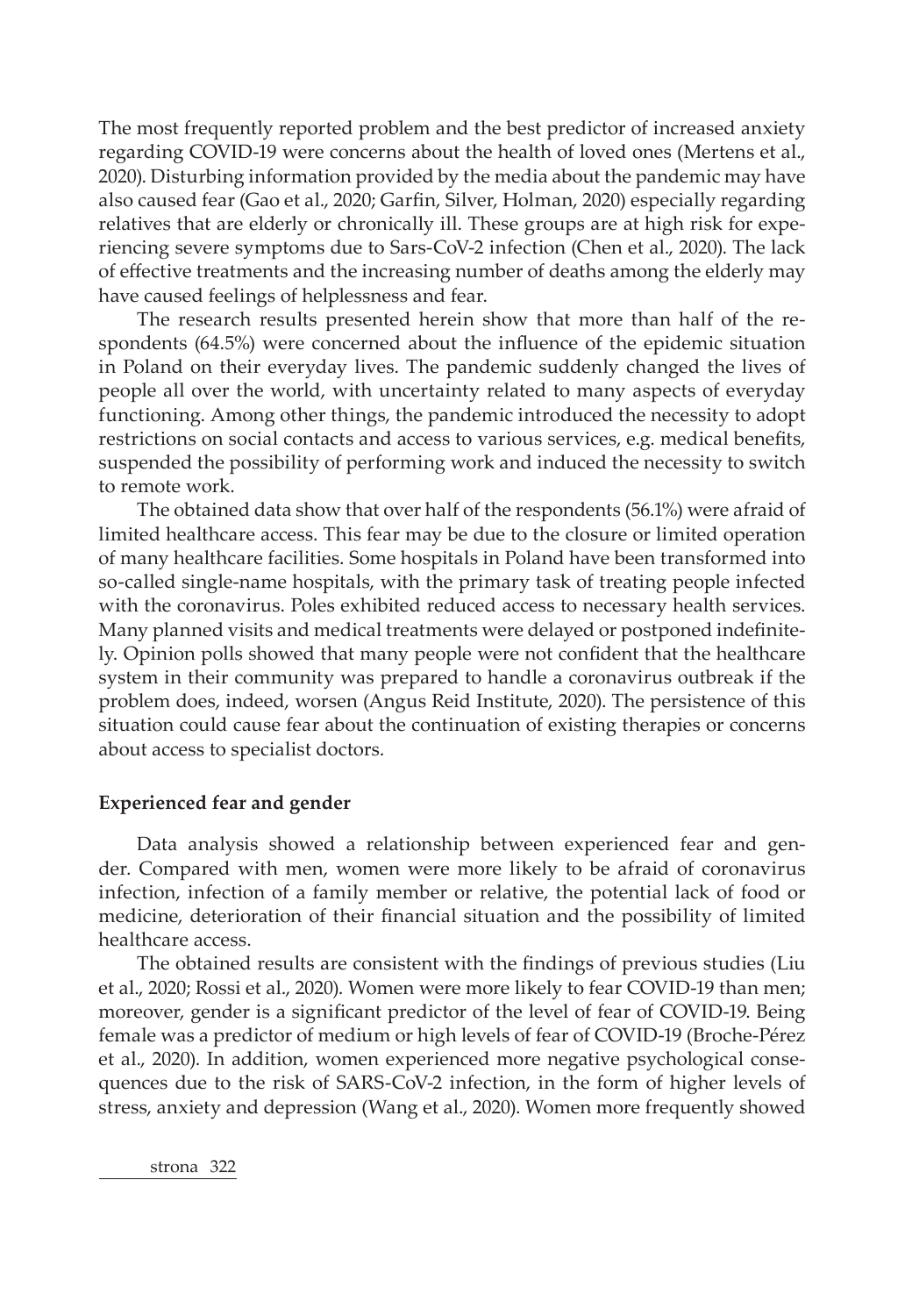The most frequently reported problem and the best predictor of increased anxiety regarding COVID-19 were concerns about the health of loved ones (Mertens et al., 2020). Disturbing information provided by the media about the pandemic may have also caused fear (Gao et al., 2020; Garfin, Silver, Holman, 2020) especially regarding relatives that are elderly or chronically ill. These groups are at high risk for experiencing severe symptoms due to Sars-CoV-2 infection (Chen et al., 2020). The lack of effective treatments and the increasing number of deaths among the elderly may have caused feelings of helplessness and fear.

The research results presented herein show that more than half of the respondents (64.5%) were concerned about the influence of the epidemic situation in Poland on their everyday lives. The pandemic suddenly changed the lives of people all over the world, with uncertainty related to many aspects of everyday functioning. Among other things, the pandemic introduced the necessity to adopt restrictions on social contacts and access to various services, e.g. medical benefits, suspended the possibility of performing work and induced the necessity to switch to remote work.

The obtained data show that over half of the respondents (56.1%) were afraid of limited healthcare access. This fear may be due to the closure or limited operation of many healthcare facilities. Some hospitals in Poland have been transformed into so-called single-name hospitals, with the primary task of treating people infected with the coronavirus. Poles exhibited reduced access to necessary health services. Many planned visits and medical treatments were delayed or postponed indefinitely. Opinion polls showed that many people were not confident that the healthcare system in their community was prepared to handle a coronavirus outbreak if the problem does, indeed, worsen (Angus Reid Institute, 2020). The persistence of this situation could cause fear about the continuation of existing therapies or concerns about access to specialist doctors.

### **Experienced fear and gender**

Data analysis showed a relationship between experienced fear and gender. Compared with men, women were more likely to be afraid of coronavirus infection, infection of a family member or relative, the potential lack of food or medicine, deterioration of their financial situation and the possibility of limited healthcare access.

The obtained results are consistent with the findings of previous studies (Liu et al., 2020; Rossi et al., 2020). Women were more likely to fear COVID-19 than men; moreover, gender is a significant predictor of the level of fear of COVID-19. Being female was a predictor of medium or high levels of fear of COVID-19 (Broche-Pérez et al., 2020). In addition, women experienced more negative psychological consequences due to the risk of SARS-CoV-2 infection, in the form of higher levels of stress, anxiety and depression (Wang et al., 2020). Women more frequently showed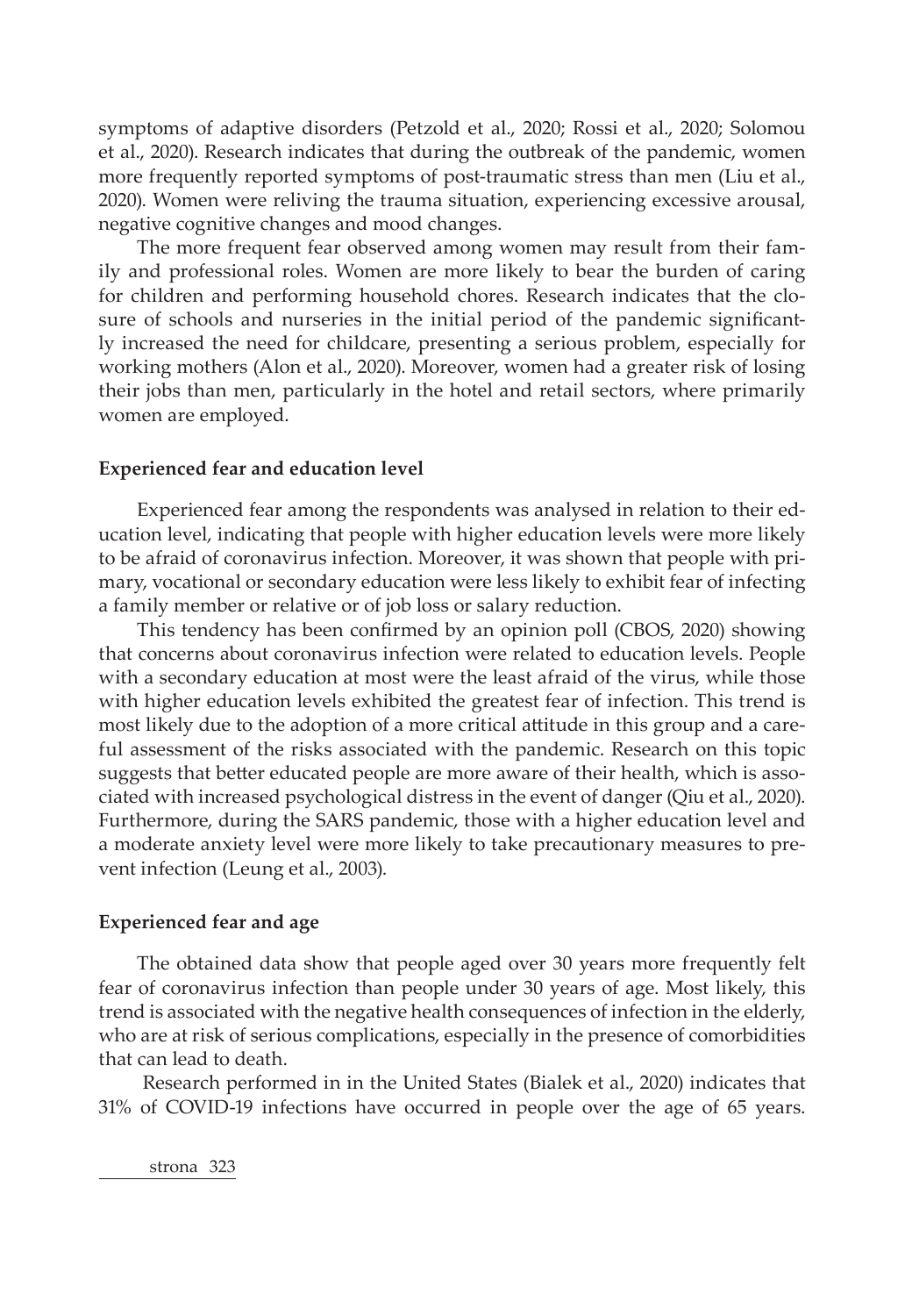symptoms of adaptive disorders (Petzold et al., 2020; Rossi et al., 2020; Solomou et al., 2020). Research indicates that during the outbreak of the pandemic, women more frequently reported symptoms of post-traumatic stress than men (Liu et al., 2020). Women were reliving the trauma situation, experiencing excessive arousal, negative cognitive changes and mood changes.

The more frequent fear observed among women may result from their family and professional roles. Women are more likely to bear the burden of caring for children and performing household chores. Research indicates that the closure of schools and nurseries in the initial period of the pandemic significantly increased the need for childcare, presenting a serious problem, especially for working mothers (Alon et al., 2020). Moreover, women had a greater risk of losing their jobs than men, particularly in the hotel and retail sectors, where primarily women are employed.

### **Experienced fear and education level**

Experienced fear among the respondents was analysed in relation to their education level, indicating that people with higher education levels were more likely to be afraid of coronavirus infection. Moreover, it was shown that people with primary, vocational or secondary education were less likely to exhibit fear of infecting a family member or relative or of job loss or salary reduction.

This tendency has been confirmed by an opinion poll (CBOS, 2020) showing that concerns about coronavirus infection were related to education levels. People with a secondary education at most were the least afraid of the virus, while those with higher education levels exhibited the greatest fear of infection. This trend is most likely due to the adoption of a more critical attitude in this group and a careful assessment of the risks associated with the pandemic. Research on this topic suggests that better educated people are more aware of their health, which is associated with increased psychological distress in the event of danger (Qiu et al., 2020). Furthermore, during the SARS pandemic, those with a higher education level and a moderate anxiety level were more likely to take precautionary measures to prevent infection (Leung et al., 2003).

### **Experienced fear and age**

The obtained data show that people aged over 30 years more frequently felt fear of coronavirus infection than people under 30 years of age. Most likely, this trend is associated with the negative health consequences of infection in the elderly, who are at risk of serious complications, especially in the presence of comorbidities that can lead to death.

 Research performed in in the United States (Bialek et al., 2020) indicates that 31% of COVID-19 infections have occurred in people over the age of 65 years.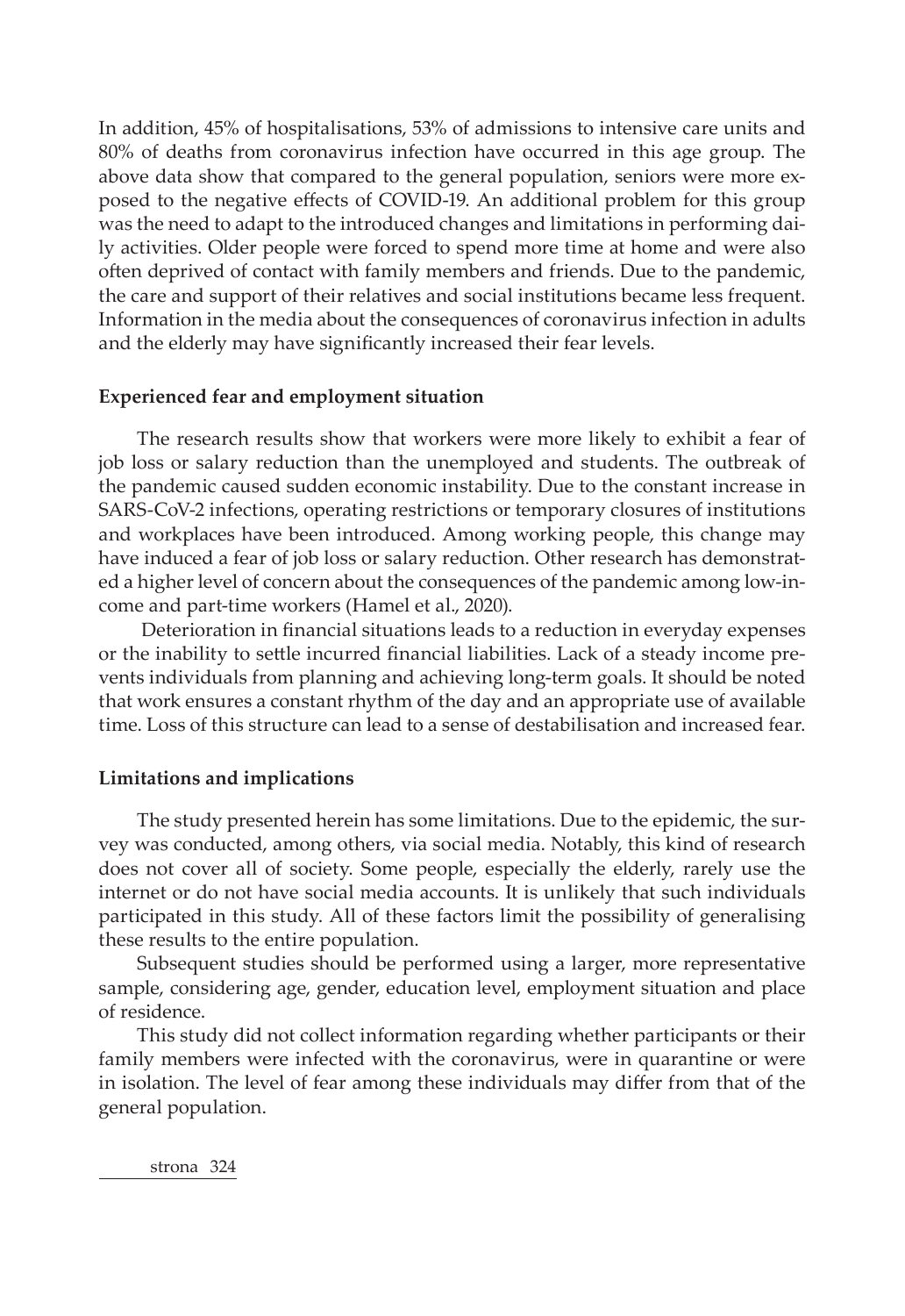In addition, 45% of hospitalisations, 53% of admissions to intensive care units and 80% of deaths from coronavirus infection have occurred in this age group. The above data show that compared to the general population, seniors were more exposed to the negative effects of COVID-19. An additional problem for this group was the need to adapt to the introduced changes and limitations in performing daily activities. Older people were forced to spend more time at home and were also often deprived of contact with family members and friends. Due to the pandemic, the care and support of their relatives and social institutions became less frequent. Information in the media about the consequences of coronavirus infection in adults and the elderly may have significantly increased their fear levels.

### **Experienced fear and employment situation**

The research results show that workers were more likely to exhibit a fear of job loss or salary reduction than the unemployed and students. The outbreak of the pandemic caused sudden economic instability. Due to the constant increase in SARS-CoV-2 infections, operating restrictions or temporary closures of institutions and workplaces have been introduced. Among working people, this change may have induced a fear of job loss or salary reduction. Other research has demonstrated a higher level of concern about the consequences of the pandemic among low-income and part-time workers (Hamel et al., 2020).

 Deterioration in financial situations leads to a reduction in everyday expenses or the inability to settle incurred financial liabilities. Lack of a steady income prevents individuals from planning and achieving long-term goals. It should be noted that work ensures a constant rhythm of the day and an appropriate use of available time. Loss of this structure can lead to a sense of destabilisation and increased fear.

### **Limitations and implications**

The study presented herein has some limitations. Due to the epidemic, the survey was conducted, among others, via social media. Notably, this kind of research does not cover all of society. Some people, especially the elderly, rarely use the internet or do not have social media accounts. It is unlikely that such individuals participated in this study. All of these factors limit the possibility of generalising these results to the entire population.

Subsequent studies should be performed using a larger, more representative sample, considering age, gender, education level, employment situation and place of residence.

This study did not collect information regarding whether participants or their family members were infected with the coronavirus, were in quarantine or were in isolation. The level of fear among these individuals may differ from that of the general population.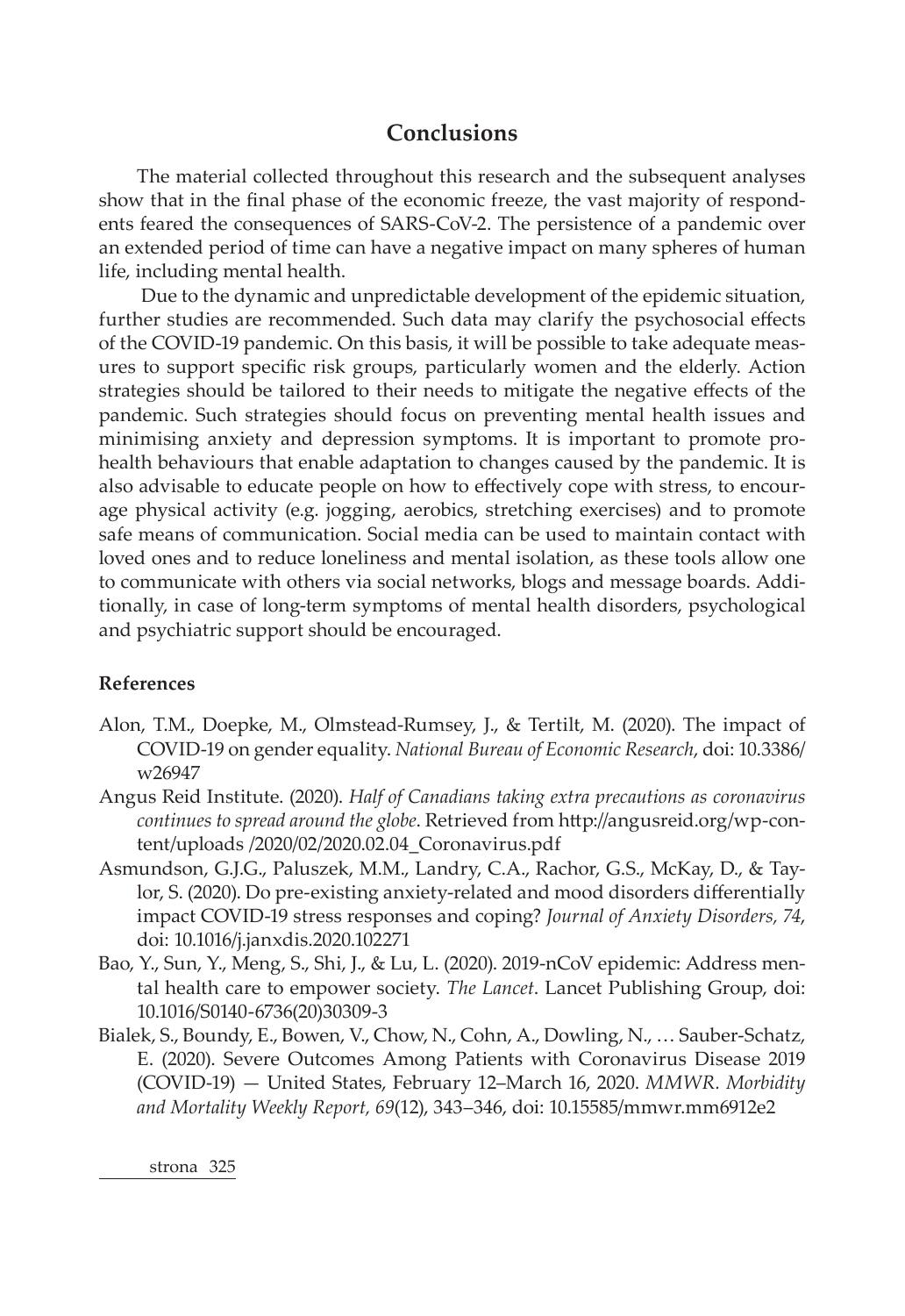# **Conclusions**

The material collected throughout this research and the subsequent analyses show that in the final phase of the economic freeze, the vast majority of respondents feared the consequences of SARS-CoV-2. The persistence of a pandemic over an extended period of time can have a negative impact on many spheres of human life, including mental health.

 Due to the dynamic and unpredictable development of the epidemic situation, further studies are recommended. Such data may clarify the psychosocial effects of the COVID-19 pandemic. On this basis, it will be possible to take adequate measures to support specific risk groups, particularly women and the elderly. Action strategies should be tailored to their needs to mitigate the negative effects of the pandemic. Such strategies should focus on preventing mental health issues and minimising anxiety and depression symptoms. It is important to promote prohealth behaviours that enable adaptation to changes caused by the pandemic. It is also advisable to educate people on how to effectively cope with stress, to encourage physical activity (e.g. jogging, aerobics, stretching exercises) and to promote safe means of communication. Social media can be used to maintain contact with loved ones and to reduce loneliness and mental isolation, as these tools allow one to communicate with others via social networks, blogs and message boards. Additionally, in case of long-term symptoms of mental health disorders, psychological and psychiatric support should be encouraged.

### **References**

- Alon, T.M., Doepke, M., Olmstead-Rumsey, J., & Tertilt, M. (2020). The impact of COVID-19 on gender equality. *National Bureau of Economic Research*, doi: 10.3386/ w26947
- Angus Reid Institute. (2020). *Half of Canadians taking extra precautions as coronavirus continues to spread around the globe*. Retrieved from http://angusreid.org/wp-content/uploads /2020/02/2020.02.04\_Coronavirus.pdf
- Asmundson, G.J.G., Paluszek, M.M., Landry, C.A., Rachor, G.S., McKay, D., & Taylor, S. (2020). Do pre-existing anxiety-related and mood disorders differentially impact COVID-19 stress responses and coping? *Journal of Anxiety Disorders, 74*, doi: 10.1016/j.janxdis.2020.102271
- Bao, Y., Sun, Y., Meng, S., Shi, J., & Lu, L. (2020). 2019-nCoV epidemic: Address mental health care to empower society. *The Lancet*. Lancet Publishing Group, doi: 10.1016/S0140-6736(20)30309-3
- Bialek, S., Boundy, E., Bowen, V., Chow, N., Cohn, A., Dowling, N., … Sauber-Schatz, E. (2020). Severe Outcomes Among Patients with Coronavirus Disease 2019 (COVID-19) — United States, February 12–March 16, 2020. *MMWR. Morbidity and Mortality Weekly Report, 69*(12), 343–346, doi: 10.15585/mmwr.mm6912e2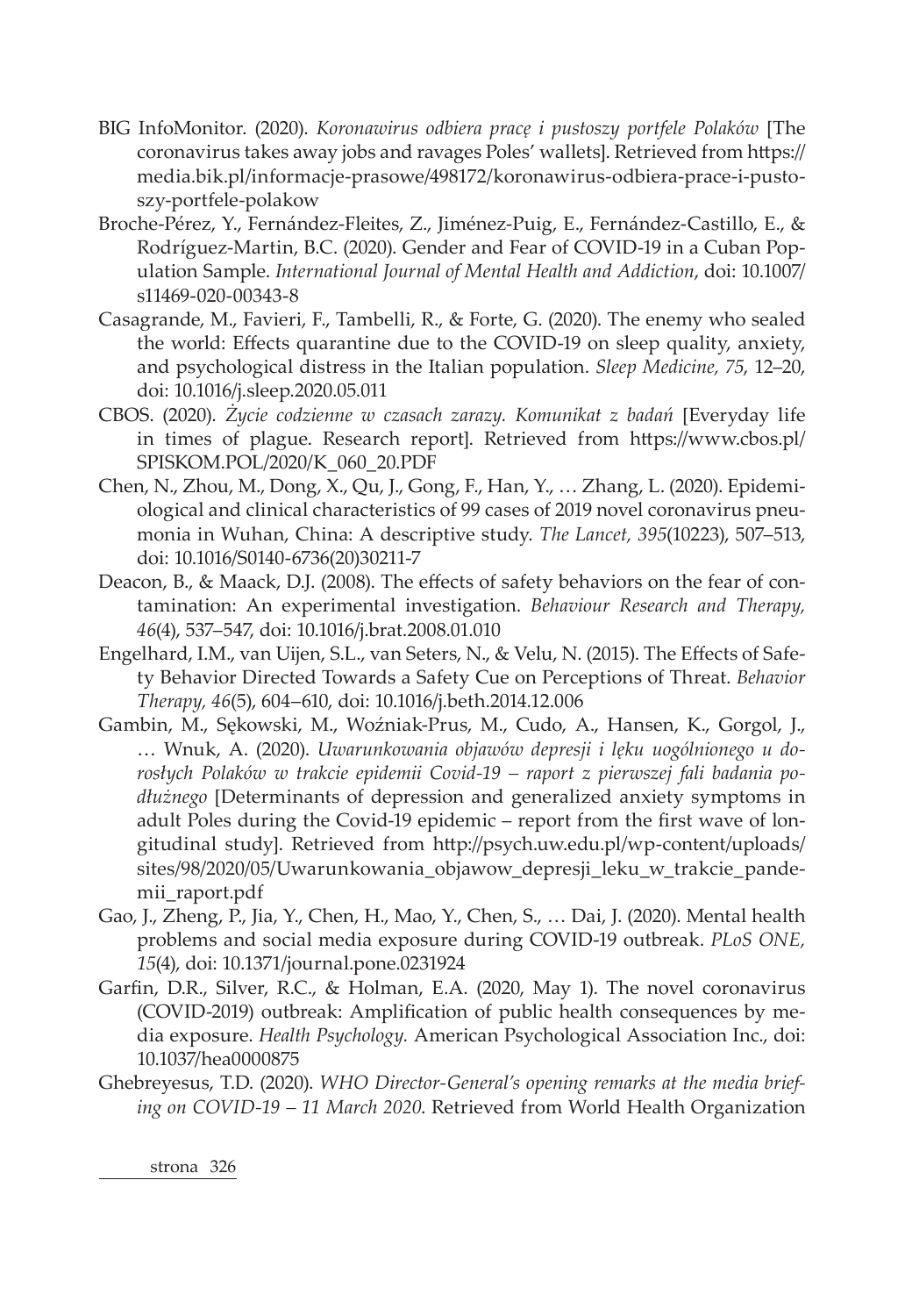- BIG InfoMonitor. (2020). *Koronawirus odbiera pracę i pustoszy portfele Polaków* [The coronavirus takes away jobs and ravages Poles' wallets]. Retrieved from https:// media.bik.pl/informacje-prasowe/498172/koronawirus-odbiera-prace-i-pustoszy-portfele-polakow
- Broche-Pérez, Y., Fernández-Fleites, Z., Jiménez-Puig, E., Fernández-Castillo, E., & Rodríguez-Martin, B.C. (2020). Gender and Fear of COVID-19 in a Cuban Population Sample. *International Journal of Mental Health and Addiction*, doi: 10.1007/ s11469-020-00343-8
- Casagrande, M., Favieri, F., Tambelli, R., & Forte, G. (2020). The enemy who sealed the world: Effects quarantine due to the COVID-19 on sleep quality, anxiety, and psychological distress in the Italian population. *Sleep Medicine, 75*, 12–20, doi: 10.1016/j.sleep.2020.05.011
- CBOS. (2020). *Życie codzienne w czasach zarazy. Komunikat z badań* [Everyday life in times of plague. Research report]. Retrieved from https://www.cbos.pl/ SPISKOM.POL/2020/K\_060\_20.PDF
- Chen, N., Zhou, M., Dong, X., Qu, J., Gong, F., Han, Y., … Zhang, L. (2020). Epidemiological and clinical characteristics of 99 cases of 2019 novel coronavirus pneumonia in Wuhan, China: A descriptive study. *The Lancet, 395*(10223), 507–513, doi: 10.1016/S0140-6736(20)30211-7
- Deacon, B., & Maack, D.J. (2008). The effects of safety behaviors on the fear of contamination: An experimental investigation. *Behaviour Research and Therapy, 46*(4), 537–547, doi: 10.1016/j.brat.2008.01.010
- Engelhard, I.M., van Uijen, S.L., van Seters, N., & Velu, N. (2015). The Effects of Safety Behavior Directed Towards a Safety Cue on Perceptions of Threat. *Behavior Therapy, 46*(5), 604–610, doi: 10.1016/j.beth.2014.12.006
- Gambin, M., Sękowski, M., Woźniak-Prus, M., Cudo, A., Hansen, K., Gorgol, J., … Wnuk, A. (2020). *Uwarunkowania objawów depresji i lęku uogólnionego u dorosłych Polaków w trakcie epidemii Covid-19 – raport z pierwszej fali badania podłużnego* [Determinants of depression and generalized anxiety symptoms in adult Poles during the Covid-19 epidemic – report from the first wave of longitudinal study]. Retrieved from http://psych.uw.edu.pl/wp-content/uploads/ sites/98/2020/05/Uwarunkowania\_objawow\_depresji\_leku\_w\_trakcie\_pandemii\_raport.pdf
- Gao, J., Zheng, P., Jia, Y., Chen, H., Mao, Y., Chen, S., … Dai, J. (2020). Mental health problems and social media exposure during COVID-19 outbreak. *PLoS ONE, 15*(4), doi: 10.1371/journal.pone.0231924
- Garfin, D.R., Silver, R.C., & Holman, E.A. (2020, May 1). The novel coronavirus (COVID-2019) outbreak: Amplification of public health consequences by media exposure. *Health Psychology.* American Psychological Association Inc., doi: 10.1037/hea0000875
- Ghebreyesus, T.D. (2020). *WHO Director-General's opening remarks at the media briefing on COVID-19 – 11 March 2020*. Retrieved from World Health Organization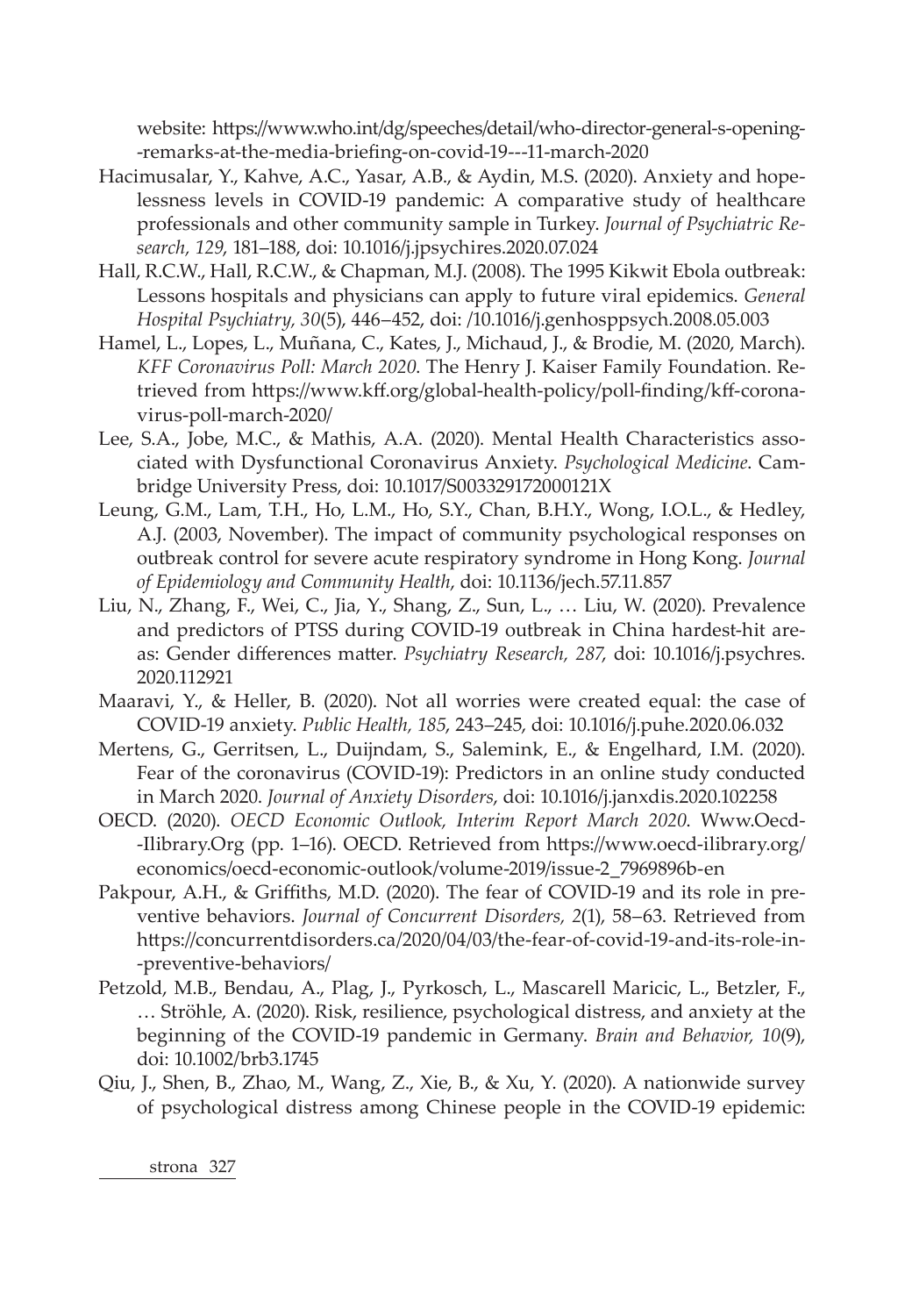website: https://www.who.int/dg/speeches/detail/who-director-general-s-opening- -remarks-at-the-media-briefing-on-covid-19---11-march-2020

- Hacimusalar, Y., Kahve, A.C., Yasar, A.B., & Aydin, M.S. (2020). Anxiety and hopelessness levels in COVID-19 pandemic: A comparative study of healthcare professionals and other community sample in Turkey. *Journal of Psychiatric Research, 129*, 181–188, doi: 10.1016/j.jpsychires.2020.07.024
- Hall, R.C.W., Hall, R.C.W., & Chapman, M.J. (2008). The 1995 Kikwit Ebola outbreak: Lessons hospitals and physicians can apply to future viral epidemics. *General Hospital Psychiatry, 30*(5), 446–452, doi: /10.1016/j.genhosppsych.2008.05.003
- Hamel, L., Lopes, L., Muñana, C., Kates, J., Michaud, J., & Brodie, M. (2020, March). *KFF Coronavirus Poll: March 2020*. The Henry J. Kaiser Family Foundation. Retrieved from https://www.kff.org/global-health-policy/poll-finding/kff-coronavirus-poll-march-2020/
- Lee, S.A., Jobe, M.C., & Mathis, A.A. (2020). Mental Health Characteristics associated with Dysfunctional Coronavirus Anxiety. *Psychological Medicine*. Cambridge University Press, doi: 10.1017/S003329172000121X
- Leung, G.M., Lam, T.H., Ho, L.M., Ho, S.Y., Chan, B.H.Y., Wong, I.O.L., & Hedley, A.J. (2003, November). The impact of community psychological responses on outbreak control for severe acute respiratory syndrome in Hong Kong. *Journal of Epidemiology and Community Health*, doi: 10.1136/jech.57.11.857
- Liu, N., Zhang, F., Wei, C., Jia, Y., Shang, Z., Sun, L., … Liu, W. (2020). Prevalence and predictors of PTSS during COVID-19 outbreak in China hardest-hit areas: Gender differences matter. *Psychiatry Research, 287*, doi: 10.1016/j.psychres. 2020.112921
- Maaravi, Y., & Heller, B. (2020). Not all worries were created equal: the case of COVID-19 anxiety. *Public Health, 185*, 243–245, doi: 10.1016/j.puhe.2020.06.032
- Mertens, G., Gerritsen, L., Duijndam, S., Salemink, E., & Engelhard, I.M. (2020). Fear of the coronavirus (COVID-19): Predictors in an online study conducted in March 2020. *Journal of Anxiety Disorders*, doi: 10.1016/j.janxdis.2020.102258
- OECD. (2020). *OECD Economic Outlook, Interim Report March 2020*. Www.Oecd- -Ilibrary.Org (pp. 1–16). OECD. Retrieved from https://www.oecd-ilibrary.org/ economics/oecd-economic-outlook/volume-2019/issue-2\_7969896b-en
- Pakpour, A.H., & Griffiths, M.D. (2020). The fear of COVID-19 and its role in preventive behaviors. *Journal of Concurrent Disorders, 2*(1), 58–63. Retrieved from https://concurrentdisorders.ca/2020/04/03/the-fear-of-covid-19-and-its-role-in- -preventive-behaviors/
- Petzold, M.B., Bendau, A., Plag, J., Pyrkosch, L., Mascarell Maricic, L., Betzler, F., … Ströhle, A. (2020). Risk, resilience, psychological distress, and anxiety at the beginning of the COVID-19 pandemic in Germany. *Brain and Behavior, 10*(9), doi: 10.1002/brb3.1745
- Qiu, J., Shen, B., Zhao, M., Wang, Z., Xie, B., & Xu, Y. (2020). A nationwide survey of psychological distress among Chinese people in the COVID-19 epidemic: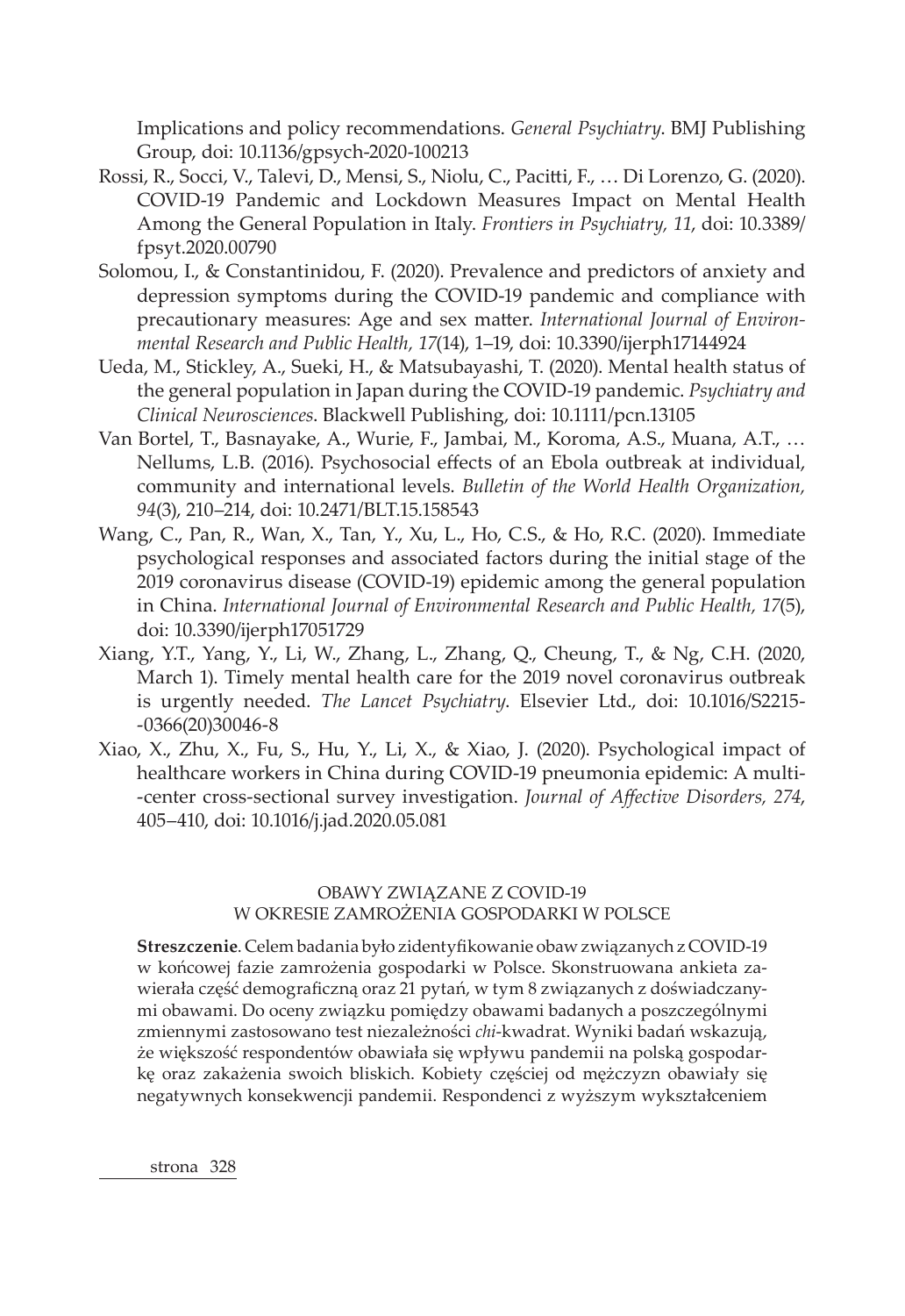Implications and policy recommendations. *General Psychiatry*. BMJ Publishing Group, doi: 10.1136/gpsych-2020-100213

- Rossi, R., Socci, V., Talevi, D., Mensi, S., Niolu, C., Pacitti, F., … Di Lorenzo, G. (2020). COVID-19 Pandemic and Lockdown Measures Impact on Mental Health Among the General Population in Italy. *Frontiers in Psychiatry, 11*, doi: 10.3389/ fpsyt.2020.00790
- Solomou, I., & Constantinidou, F. (2020). Prevalence and predictors of anxiety and depression symptoms during the COVID-19 pandemic and compliance with precautionary measures: Age and sex matter. *International Journal of Environmental Research and Public Health, 17*(14), 1–19, doi: 10.3390/ijerph17144924
- Ueda, M., Stickley, A., Sueki, H., & Matsubayashi, T. (2020). Mental health status of the general population in Japan during the COVID-19 pandemic. *Psychiatry and Clinical Neurosciences*. Blackwell Publishing, doi: 10.1111/pcn.13105
- Van Bortel, T., Basnayake, A., Wurie, F., Jambai, M., Koroma, A.S., Muana, A.T., … Nellums, L.B. (2016). Psychosocial effects of an Ebola outbreak at individual, community and international levels. *Bulletin of the World Health Organization, 94*(3), 210–214, doi: 10.2471/BLT.15.158543
- Wang, C., Pan, R., Wan, X., Tan, Y., Xu, L., Ho, C.S., & Ho, R.C. (2020). Immediate psychological responses and associated factors during the initial stage of the 2019 coronavirus disease (COVID-19) epidemic among the general population in China. *International Journal of Environmental Research and Public Health, 17*(5), doi: 10.3390/ijerph17051729
- Xiang, Y.T., Yang, Y., Li, W., Zhang, L., Zhang, Q., Cheung, T., & Ng, C.H. (2020, March 1). Timely mental health care for the 2019 novel coronavirus outbreak is urgently needed. *The Lancet Psychiatry*. Elsevier Ltd., doi: 10.1016/S2215- -0366(20)30046-8
- Xiao, X., Zhu, X., Fu, S., Hu, Y., Li, X., & Xiao, J. (2020). Psychological impact of healthcare workers in China during COVID-19 pneumonia epidemic: A multi- -center cross-sectional survey investigation. *Journal of Affective Disorders, 274*, 405–410, doi: 10.1016/j.jad.2020.05.081

### OBAWY ZWIĄZANE Z COVID-19 W OKRESIE ZAMROŻENIA GOSPODARKI W POLSCE

**Streszczenie**. Celem badania było zidentyfikowanie obaw związanych z COVID-19 w końcowej fazie zamrożenia gospodarki w Polsce. Skonstruowana ankieta zawierała część demograficzną oraz 21 pytań, w tym 8 związanych z doświadczanymi obawami. Do oceny związku pomiędzy obawami badanych a poszczególnymi zmiennymi zastosowano test niezależności *chi*-kwadrat. Wyniki badań wskazują, że większość respondentów obawiała się wpływu pandemii na polską gospodarkę oraz zakażenia swoich bliskich. Kobiety częściej od mężczyzn obawiały się negatywnych konsekwencji pandemii. Respondenci z wyższym wykształceniem